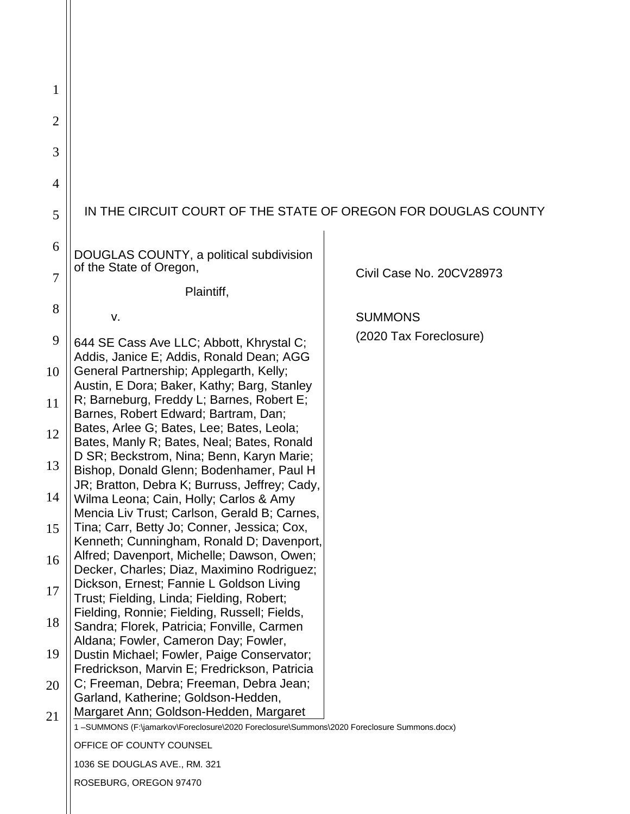| 1              |                                                                                                                                          |                          |
|----------------|------------------------------------------------------------------------------------------------------------------------------------------|--------------------------|
|                |                                                                                                                                          |                          |
| $\overline{2}$ |                                                                                                                                          |                          |
| 3              |                                                                                                                                          |                          |
| 4              |                                                                                                                                          |                          |
| 5              | IN THE CIRCUIT COURT OF THE STATE OF OREGON FOR DOUGLAS COUNTY                                                                           |                          |
| 6              | DOUGLAS COUNTY, a political subdivision<br>of the State of Oregon,                                                                       |                          |
| 7              | Plaintiff,                                                                                                                               | Civil Case No. 20CV28973 |
| 8              | v.                                                                                                                                       | <b>SUMMONS</b>           |
| 9              | 644 SE Cass Ave LLC; Abbott, Khrystal C;                                                                                                 | (2020 Tax Foreclosure)   |
|                | Addis, Janice E; Addis, Ronald Dean; AGG                                                                                                 |                          |
| 10             | General Partnership; Applegarth, Kelly;<br>Austin, E Dora; Baker, Kathy; Barg, Stanley                                                   |                          |
| 11             | R; Barneburg, Freddy L; Barnes, Robert E;<br>Barnes, Robert Edward; Bartram, Dan;                                                        |                          |
| 12             | Bates, Arlee G; Bates, Lee; Bates, Leola;<br>Bates, Manly R; Bates, Neal; Bates, Ronald                                                  |                          |
| 13             | D SR; Beckstrom, Nina; Benn, Karyn Marie;<br>Bishop, Donald Glenn; Bodenhamer, Paul H                                                    |                          |
| 14             | JR; Bratton, Debra K; Burruss, Jeffrey; Cady,<br>Wilma Leona; Cain, Holly; Carlos & Amy                                                  |                          |
| 15             | Mencia Liv Trust; Carlson, Gerald B; Carnes,<br>Tina; Carr, Betty Jo; Conner, Jessica; Cox,<br>Kenneth; Cunningham, Ronald D; Davenport, |                          |
| 16             | Alfred; Davenport, Michelle; Dawson, Owen;<br>Decker, Charles; Diaz, Maximino Rodriguez;                                                 |                          |
| 17             | Dickson, Ernest; Fannie L Goldson Living<br>Trust; Fielding, Linda; Fielding, Robert;                                                    |                          |
| 18             | Fielding, Ronnie; Fielding, Russell; Fields,<br>Sandra; Florek, Patricia; Fonville, Carmen                                               |                          |
| 19             | Aldana; Fowler, Cameron Day; Fowler,<br>Dustin Michael; Fowler, Paige Conservator;                                                       |                          |
| 20             | Fredrickson, Marvin E; Fredrickson, Patricia<br>C; Freeman, Debra; Freeman, Debra Jean;                                                  |                          |
| 21             | Garland, Katherine; Goldson-Hedden,<br>Margaret Ann; Goldson-Hedden, Margaret                                                            |                          |
|                | 1-SUMMONS (F:\jamarkov\Foreclosure\2020 Foreclosure\Summons\2020 Foreclosure Summons.docx)                                               |                          |
|                | OFFICE OF COUNTY COUNSEL                                                                                                                 |                          |
|                | 1036 SE DOUGLAS AVE., RM. 321                                                                                                            |                          |
|                | ROSEBURG, OREGON 97470                                                                                                                   |                          |

 $\parallel$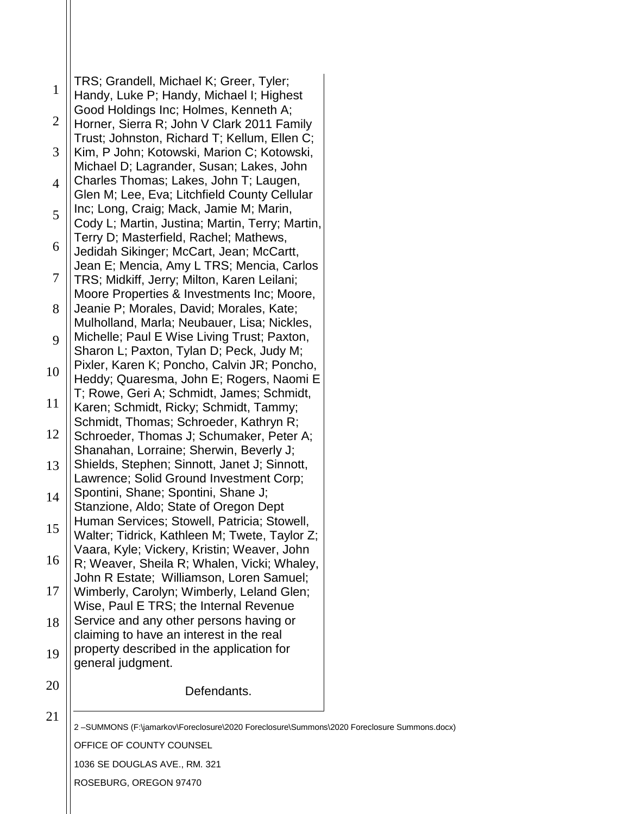1 2 3 4 5 6 7 8 9 10 11 12 13 14 15 16 17 18 19 20 TRS; Grandell, Michael K; Greer, Tyler; Handy, Luke P; Handy, Michael I; Highest Good Holdings Inc; Holmes, Kenneth A; Horner, Sierra R; John V Clark 2011 Family Trust; Johnston, Richard T; Kellum, Ellen C; Kim, P John; Kotowski, Marion C; Kotowski, Michael D; Lagrander, Susan; Lakes, John Charles Thomas; Lakes, John T; Laugen, Glen M; Lee, Eva; Litchfield County Cellular Inc; Long, Craig; Mack, Jamie M; Marin, Cody L; Martin, Justina; Martin, Terry; Martin, Terry D; Masterfield, Rachel; Mathews, Jedidah Sikinger; McCart, Jean; McCartt, Jean E; Mencia, Amy L TRS; Mencia, Carlos TRS; Midkiff, Jerry; Milton, Karen Leilani; Moore Properties & Investments Inc; Moore, Jeanie P; Morales, David; Morales, Kate; Mulholland, Marla; Neubauer, Lisa; Nickles, Michelle; Paul E Wise Living Trust; Paxton, Sharon L; Paxton, Tylan D; Peck, Judy M; Pixler, Karen K; Poncho, Calvin JR; Poncho, Heddy; Quaresma, John E; Rogers, Naomi E T; Rowe, Geri A; Schmidt, James; Schmidt, Karen; Schmidt, Ricky; Schmidt, Tammy; Schmidt, Thomas; Schroeder, Kathryn R; Schroeder, Thomas J; Schumaker, Peter A; Shanahan, Lorraine; Sherwin, Beverly J; Shields, Stephen; Sinnott, Janet J; Sinnott, Lawrence; Solid Ground Investment Corp; Spontini, Shane; Spontini, Shane J; Stanzione, Aldo; State of Oregon Dept Human Services; Stowell, Patricia; Stowell, Walter; Tidrick, Kathleen M; Twete, Taylor Z; Vaara, Kyle; Vickery, Kristin; Weaver, John R; Weaver, Sheila R; Whalen, Vicki; Whaley, John R Estate; Williamson, Loren Samuel; Wimberly, Carolyn; Wimberly, Leland Glen; Wise, Paul E TRS; the Internal Revenue Service and any other persons having or claiming to have an interest in the real property described in the application for general judgment. Defendants.

21

2 –SUMMONS (F:\jamarkov\Foreclosure\2020 Foreclosure\Summons\2020 Foreclosure Summons.docx)

OFFICE OF COUNTY COUNSEL

1036 SE DOUGLAS AVE., RM. 321

ROSEBURG, OREGON 97470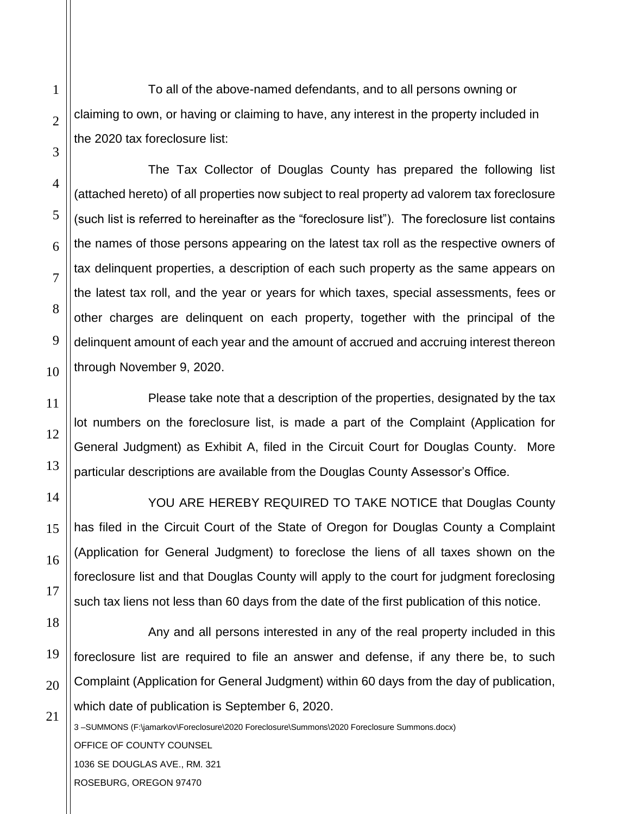To all of the above-named defendants, and to all persons owning or claiming to own, or having or claiming to have, any interest in the property included in the 2020 tax foreclosure list:

The Tax Collector of Douglas County has prepared the following list (attached hereto) of all properties now subject to real property ad valorem tax foreclosure (such list is referred to hereinafter as the "foreclosure list"). The foreclosure list contains the names of those persons appearing on the latest tax roll as the respective owners of tax delinquent properties, a description of each such property as the same appears on the latest tax roll, and the year or years for which taxes, special assessments, fees or other charges are delinquent on each property, together with the principal of the delinquent amount of each year and the amount of accrued and accruing interest thereon through November 9, 2020.

Please take note that a description of the properties, designated by the tax lot numbers on the foreclosure list, is made a part of the Complaint (Application for General Judgment) as Exhibit A, filed in the Circuit Court for Douglas County. More particular descriptions are available from the Douglas County Assessor's Office.

YOU ARE HEREBY REQUIRED TO TAKE NOTICE that Douglas County has filed in the Circuit Court of the State of Oregon for Douglas County a Complaint (Application for General Judgment) to foreclose the liens of all taxes shown on the foreclosure list and that Douglas County will apply to the court for judgment foreclosing such tax liens not less than 60 days from the date of the first publication of this notice.

Any and all persons interested in any of the real property included in this foreclosure list are required to file an answer and defense, if any there be, to such Complaint (Application for General Judgment) within 60 days from the day of publication, which date of publication is September 6, 2020.

3 –SUMMONS (F:\jamarkov\Foreclosure\2020 Foreclosure\Summons\2020 Foreclosure Summons.docx) OFFICE OF COUNTY COUNSEL 1036 SE DOUGLAS AVE., RM. 321 ROSEBURG, OREGON 97470

1

2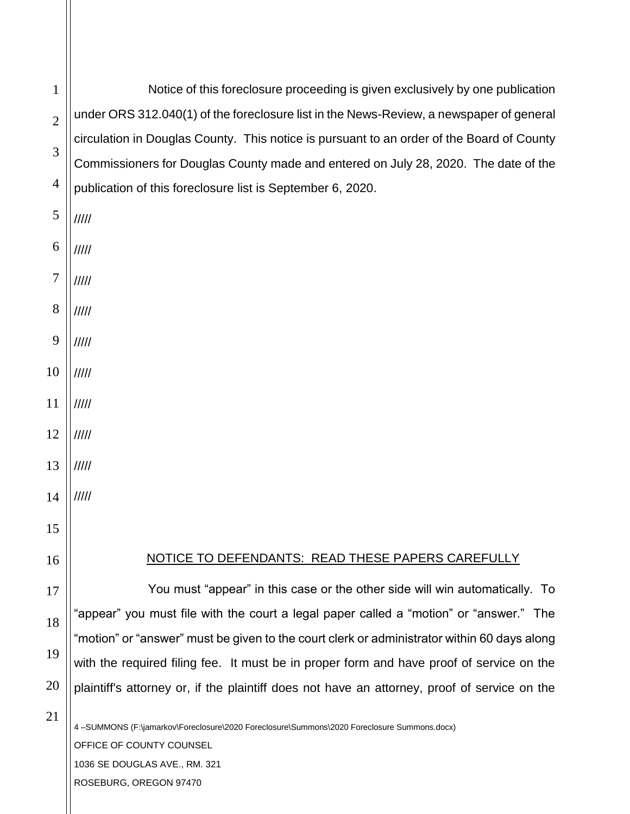4 –SUMMONS (F:\jamarkov\Foreclosure\2020 Foreclosure\Summons\2020 Foreclosure Summons.docx) 1 2 3 4 5 6 7 8 9 10 11 12 13 14 15 16 17 18 19 20 21 Notice of this foreclosure proceeding is given exclusively by one publication under ORS 312.040(1) of the foreclosure list in the News-Review, a newspaper of general circulation in Douglas County. This notice is pursuant to an order of the Board of County Commissioners for Douglas County made and entered on July 28, 2020. The date of the publication of this foreclosure list is September 6, 2020. ///// ///// ///// ///// ///// ///// ///// ///// ///// ///// NOTICE TO DEFENDANTS: READ THESE PAPERS CAREFULLY You must "appear" in this case or the other side will win automatically. To "appear" you must file with the court a legal paper called a "motion" or "answer." The "motion" or "answer" must be given to the court clerk or administrator within 60 days along with the required filing fee. It must be in proper form and have proof of service on the plaintiff's attorney or, if the plaintiff does not have an attorney, proof of service on the

OFFICE OF COUNTY COUNSEL

1036 SE DOUGLAS AVE., RM. 321

ROSEBURG, OREGON 97470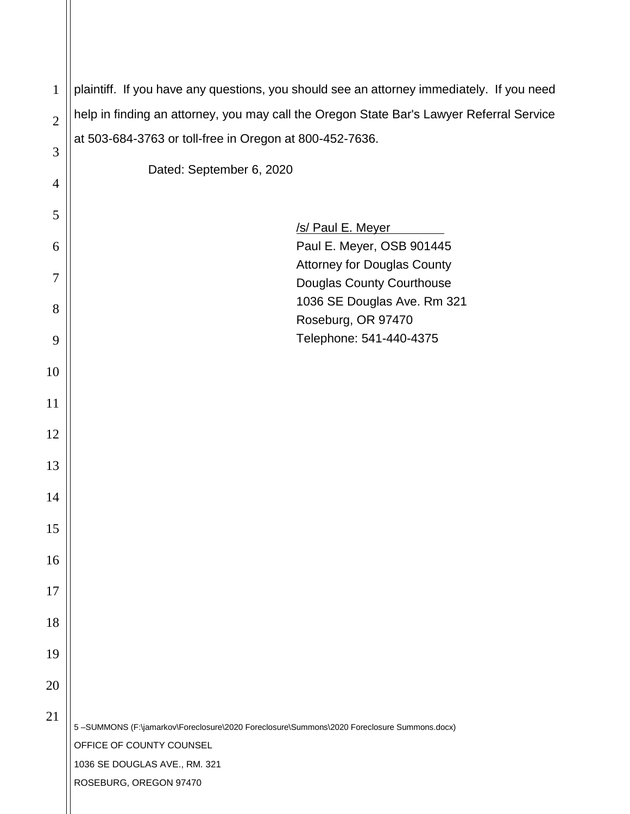| $\mathbf{1}$   | plaintiff. If you have any questions, you should see an attorney immediately. If you need  |
|----------------|--------------------------------------------------------------------------------------------|
| $\overline{2}$ | help in finding an attorney, you may call the Oregon State Bar's Lawyer Referral Service   |
|                | at 503-684-3763 or toll-free in Oregon at 800-452-7636.                                    |
| 3              | Dated: September 6, 2020                                                                   |
| $\overline{4}$ |                                                                                            |
| 5              |                                                                                            |
| 6              | /s/ Paul E. Meyer<br>Paul E. Meyer, OSB 901445                                             |
| 7              | <b>Attorney for Douglas County</b>                                                         |
|                | Douglas County Courthouse                                                                  |
| 8              | 1036 SE Douglas Ave. Rm 321<br>Roseburg, OR 97470                                          |
| 9              | Telephone: 541-440-4375                                                                    |
| 10             |                                                                                            |
|                |                                                                                            |
| 11             |                                                                                            |
| 12             |                                                                                            |
| 13             |                                                                                            |
| 14             |                                                                                            |
| 15             |                                                                                            |
|                |                                                                                            |
| 16             |                                                                                            |
| 17             |                                                                                            |
| 18             |                                                                                            |
| 19             |                                                                                            |
| 20             |                                                                                            |
|                |                                                                                            |
| 21             | 5-SUMMONS (F:\jamarkov\Foreclosure\2020 Foreclosure\Summons\2020 Foreclosure Summons.docx) |
|                | OFFICE OF COUNTY COUNSEL                                                                   |
|                | 1036 SE DOUGLAS AVE., RM. 321                                                              |
|                | ROSEBURG, OREGON 97470                                                                     |

 $\parallel$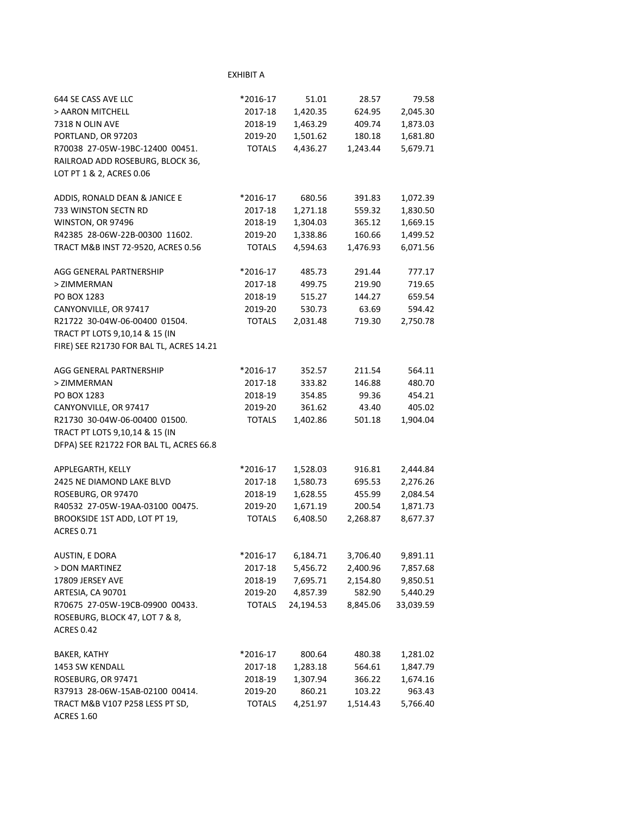| 644 SE CASS AVE LLC                                  | *2016-17      | 51.01     | 28.57    | 79.58     |
|------------------------------------------------------|---------------|-----------|----------|-----------|
| > AARON MITCHELL                                     | 2017-18       | 1,420.35  | 624.95   | 2,045.30  |
| 7318 N OLIN AVE                                      | 2018-19       | 1,463.29  | 409.74   | 1,873.03  |
| PORTLAND, OR 97203                                   | 2019-20       | 1,501.62  | 180.18   | 1,681.80  |
| R70038 27-05W-19BC-12400 00451.                      | <b>TOTALS</b> | 4,436.27  | 1,243.44 | 5,679.71  |
| RAILROAD ADD ROSEBURG, BLOCK 36,                     |               |           |          |           |
| LOT PT 1 & 2, ACRES 0.06                             |               |           |          |           |
| ADDIS, RONALD DEAN & JANICE E                        | *2016-17      | 680.56    | 391.83   | 1,072.39  |
| 733 WINSTON SECTN RD                                 | 2017-18       | 1,271.18  | 559.32   | 1,830.50  |
| WINSTON, OR 97496                                    | 2018-19       | 1,304.03  | 365.12   | 1,669.15  |
| R42385 28-06W-22B-00300 11602.                       | 2019-20       | 1,338.86  | 160.66   | 1,499.52  |
| TRACT M&B INST 72-9520, ACRES 0.56                   | <b>TOTALS</b> | 4,594.63  | 1,476.93 | 6,071.56  |
| AGG GENERAL PARTNERSHIP                              | *2016-17      | 485.73    | 291.44   | 777.17    |
| > ZIMMERMAN                                          | 2017-18       | 499.75    | 219.90   | 719.65    |
| PO BOX 1283                                          | 2018-19       | 515.27    | 144.27   | 659.54    |
| CANYONVILLE, OR 97417                                | 2019-20       | 530.73    | 63.69    | 594.42    |
| R21722 30-04W-06-00400 01504.                        | <b>TOTALS</b> | 2,031.48  | 719.30   | 2,750.78  |
| TRACT PT LOTS 9,10,14 & 15 (IN                       |               |           |          |           |
| FIRE) SEE R21730 FOR BAL TL, ACRES 14.21             |               |           |          |           |
| AGG GENERAL PARTNERSHIP                              | *2016-17      | 352.57    | 211.54   | 564.11    |
| > ZIMMERMAN                                          | 2017-18       | 333.82    | 146.88   | 480.70    |
| PO BOX 1283                                          | 2018-19       | 354.85    | 99.36    | 454.21    |
| CANYONVILLE, OR 97417                                | 2019-20       | 361.62    | 43.40    | 405.02    |
| R21730 30-04W-06-00400 01500.                        | <b>TOTALS</b> | 1,402.86  | 501.18   | 1,904.04  |
| TRACT PT LOTS 9,10,14 & 15 (IN                       |               |           |          |           |
| DFPA) SEE R21722 FOR BAL TL, ACRES 66.8              |               |           |          |           |
| APPLEGARTH, KELLY                                    | *2016-17      | 1,528.03  | 916.81   | 2,444.84  |
| 2425 NE DIAMOND LAKE BLVD                            | 2017-18       | 1,580.73  | 695.53   | 2,276.26  |
| ROSEBURG, OR 97470                                   | 2018-19       | 1,628.55  | 455.99   | 2,084.54  |
| R40532 27-05W-19AA-03100 00475.                      | 2019-20       | 1,671.19  | 200.54   | 1,871.73  |
| BROOKSIDE 1ST ADD, LOT PT 19,<br><b>ACRES 0.71</b>   | <b>TOTALS</b> | 6,408.50  | 2,268.87 | 8,677.37  |
|                                                      |               |           |          |           |
| AUSTIN, E DORA                                       | *2016-17      | 6,184.71  | 3,706.40 | 9,891.11  |
| > DON MARTINEZ                                       | 2017-18       | 5,456.72  | 2,400.96 | 7,857.68  |
| 17809 JERSEY AVE                                     | 2018-19       | 7,695.71  | 2,154.80 | 9,850.51  |
| ARTESIA, CA 90701                                    | 2019-20       | 4,857.39  | 582.90   | 5,440.29  |
| R70675 27-05W-19CB-09900 00433.                      | <b>TOTALS</b> | 24,194.53 | 8,845.06 | 33,039.59 |
| ROSEBURG, BLOCK 47, LOT 7 & 8,<br><b>ACRES 0.42</b>  |               |           |          |           |
| BAKER, KATHY                                         | *2016-17      | 800.64    | 480.38   | 1,281.02  |
| 1453 SW KENDALL                                      | 2017-18       | 1,283.18  | 564.61   | 1,847.79  |
| ROSEBURG, OR 97471                                   | 2018-19       | 1,307.94  | 366.22   | 1,674.16  |
| R37913 28-06W-15AB-02100 00414.                      | 2019-20       | 860.21    | 103.22   | 963.43    |
| TRACT M&B V107 P258 LESS PT SD,<br><b>ACRES 1.60</b> | <b>TOTALS</b> | 4,251.97  | 1,514.43 | 5,766.40  |

EXHIBIT A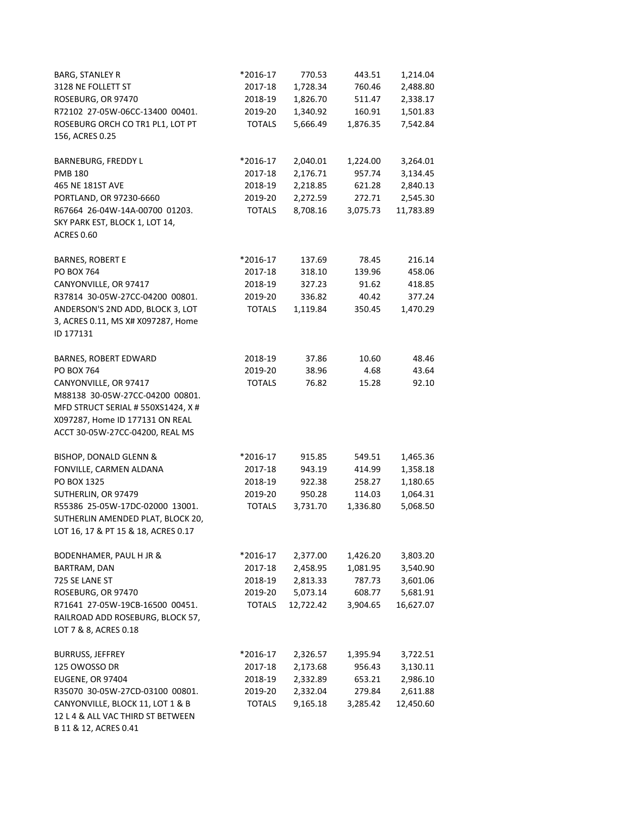| <b>BARG, STANLEY R</b>              | *2016-17      | 770.53    | 443.51   | 1,214.04  |
|-------------------------------------|---------------|-----------|----------|-----------|
| 3128 NE FOLLETT ST                  | 2017-18       | 1,728.34  | 760.46   | 2,488.80  |
| ROSEBURG, OR 97470                  | 2018-19       | 1,826.70  | 511.47   | 2,338.17  |
| R72102 27-05W-06CC-13400 00401.     | 2019-20       | 1,340.92  | 160.91   | 1,501.83  |
| ROSEBURG ORCH CO TR1 PL1, LOT PT    | <b>TOTALS</b> | 5,666.49  | 1,876.35 | 7,542.84  |
| 156, ACRES 0.25                     |               |           |          |           |
|                                     |               |           |          |           |
| BARNEBURG, FREDDY L                 | *2016-17      | 2,040.01  | 1,224.00 | 3,264.01  |
| <b>PMB 180</b>                      | 2017-18       | 2,176.71  | 957.74   | 3,134.45  |
| 465 NE 181ST AVE                    | 2018-19       | 2,218.85  | 621.28   | 2,840.13  |
| PORTLAND, OR 97230-6660             | 2019-20       | 2,272.59  | 272.71   | 2,545.30  |
| R67664 26-04W-14A-00700 01203.      | <b>TOTALS</b> | 8,708.16  | 3,075.73 | 11,783.89 |
| SKY PARK EST, BLOCK 1, LOT 14,      |               |           |          |           |
| <b>ACRES 0.60</b>                   |               |           |          |           |
|                                     |               |           |          |           |
| <b>BARNES, ROBERT E</b>             | *2016-17      | 137.69    | 78.45    | 216.14    |
| PO BOX 764                          | 2017-18       | 318.10    | 139.96   | 458.06    |
| CANYONVILLE, OR 97417               | 2018-19       | 327.23    | 91.62    | 418.85    |
| R37814 30-05W-27CC-04200 00801.     | 2019-20       | 336.82    | 40.42    | 377.24    |
| ANDERSON'S 2ND ADD, BLOCK 3, LOT    | <b>TOTALS</b> | 1,119.84  | 350.45   | 1,470.29  |
| 3, ACRES 0.11, MS X# X097287, Home  |               |           |          |           |
| ID 177131                           |               |           |          |           |
| BARNES, ROBERT EDWARD               | 2018-19       | 37.86     | 10.60    | 48.46     |
| PO BOX 764                          | 2019-20       | 38.96     | 4.68     | 43.64     |
| CANYONVILLE, OR 97417               | <b>TOTALS</b> | 76.82     | 15.28    | 92.10     |
| M88138 30-05W-27CC-04200 00801.     |               |           |          |           |
| MFD STRUCT SERIAL # 550XS1424, X #  |               |           |          |           |
| X097287, Home ID 177131 ON REAL     |               |           |          |           |
| ACCT 30-05W-27CC-04200, REAL MS     |               |           |          |           |
|                                     |               |           |          |           |
| BISHOP, DONALD GLENN &              | *2016-17      | 915.85    | 549.51   | 1,465.36  |
| FONVILLE, CARMEN ALDANA             | 2017-18       | 943.19    | 414.99   | 1,358.18  |
| PO BOX 1325                         | 2018-19       | 922.38    | 258.27   | 1,180.65  |
| SUTHERLIN, OR 97479                 | 2019-20       | 950.28    | 114.03   | 1,064.31  |
| R55386 25-05W-17DC-02000 13001.     | <b>TOTALS</b> | 3,731.70  | 1,336.80 | 5,068.50  |
| SUTHERLIN AMENDED PLAT, BLOCK 20,   |               |           |          |           |
| LOT 16, 17 & PT 15 & 18, ACRES 0.17 |               |           |          |           |
|                                     |               |           |          |           |
| BODENHAMER, PAUL H JR &             | *2016-17      | 2,377.00  | 1,426.20 | 3,803.20  |
| BARTRAM, DAN                        | 2017-18       | 2,458.95  | 1,081.95 | 3,540.90  |
| 725 SE LANE ST                      | 2018-19       | 2,813.33  | 787.73   | 3,601.06  |
| ROSEBURG, OR 97470                  | 2019-20       | 5,073.14  | 608.77   | 5,681.91  |
| R71641 27-05W-19CB-16500 00451.     | <b>TOTALS</b> | 12,722.42 | 3,904.65 | 16,627.07 |
| RAILROAD ADD ROSEBURG, BLOCK 57,    |               |           |          |           |
| LOT 7 & 8, ACRES 0.18               |               |           |          |           |
| <b>BURRUSS, JEFFREY</b>             | *2016-17      | 2,326.57  | 1,395.94 | 3,722.51  |
| 125 OWOSSO DR                       | 2017-18       | 2,173.68  | 956.43   | 3,130.11  |
| <b>EUGENE, OR 97404</b>             | 2018-19       | 2,332.89  | 653.21   | 2,986.10  |
| R35070 30-05W-27CD-03100 00801.     | 2019-20       | 2,332.04  | 279.84   | 2,611.88  |
| CANYONVILLE, BLOCK 11, LOT 1 & B    | <b>TOTALS</b> | 9,165.18  | 3,285.42 | 12,450.60 |
| 12 L 4 & ALL VAC THIRD ST BETWEEN   |               |           |          |           |
| B 11 & 12, ACRES 0.41               |               |           |          |           |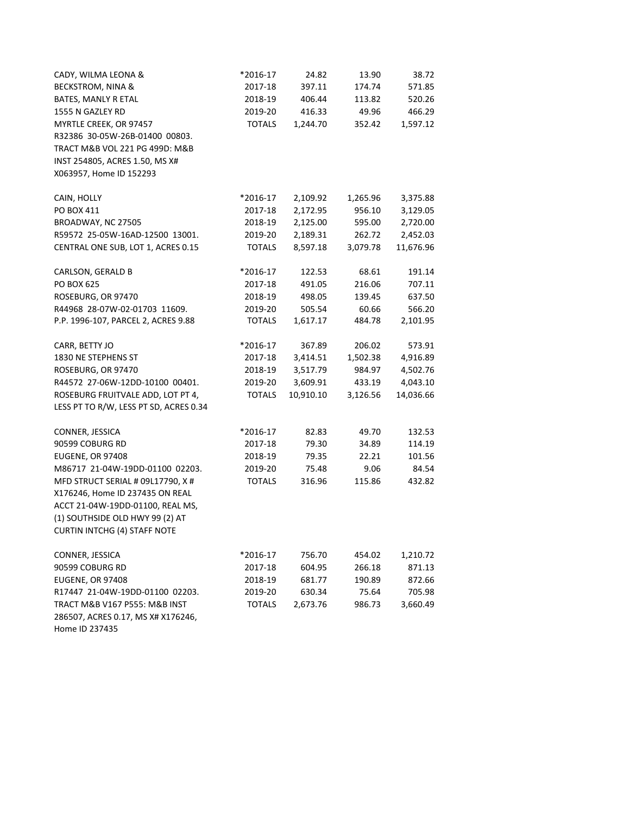| CADY, WILMA LEONA &                    | *2016-17      | 24.82     | 13.90    | 38.72     |
|----------------------------------------|---------------|-----------|----------|-----------|
| <b>BECKSTROM, NINA &amp;</b>           | 2017-18       | 397.11    | 174.74   | 571.85    |
| BATES, MANLY R ETAL                    | 2018-19       | 406.44    | 113.82   | 520.26    |
| 1555 N GAZLEY RD                       | 2019-20       | 416.33    | 49.96    | 466.29    |
| MYRTLE CREEK, OR 97457                 | <b>TOTALS</b> | 1,244.70  | 352.42   | 1,597.12  |
| R32386 30-05W-26B-01400 00803.         |               |           |          |           |
| TRACT M&B VOL 221 PG 499D: M&B         |               |           |          |           |
| INST 254805, ACRES 1.50, MS X#         |               |           |          |           |
| X063957, Home ID 152293                |               |           |          |           |
|                                        |               |           |          |           |
| CAIN, HOLLY                            | *2016-17      | 2,109.92  | 1,265.96 | 3,375.88  |
| PO BOX 411                             | 2017-18       | 2,172.95  | 956.10   | 3,129.05  |
| BROADWAY, NC 27505                     | 2018-19       | 2,125.00  | 595.00   | 2,720.00  |
| R59572 25-05W-16AD-12500 13001.        | 2019-20       | 2,189.31  | 262.72   | 2,452.03  |
| CENTRAL ONE SUB, LOT 1, ACRES 0.15     | <b>TOTALS</b> | 8,597.18  | 3,079.78 | 11,676.96 |
|                                        |               |           |          |           |
| CARLSON, GERALD B                      | *2016-17      | 122.53    | 68.61    | 191.14    |
| <b>PO BOX 625</b>                      | 2017-18       | 491.05    | 216.06   | 707.11    |
| ROSEBURG, OR 97470                     | 2018-19       | 498.05    | 139.45   | 637.50    |
| R44968 28-07W-02-01703 11609.          | 2019-20       | 505.54    | 60.66    | 566.20    |
| P.P. 1996-107, PARCEL 2, ACRES 9.88    | <b>TOTALS</b> | 1,617.17  | 484.78   | 2,101.95  |
|                                        |               |           |          |           |
| CARR, BETTY JO                         | *2016-17      | 367.89    | 206.02   | 573.91    |
| 1830 NE STEPHENS ST                    | 2017-18       | 3,414.51  | 1,502.38 | 4,916.89  |
| ROSEBURG, OR 97470                     | 2018-19       | 3,517.79  | 984.97   | 4,502.76  |
| R44572 27-06W-12DD-10100 00401.        | 2019-20       | 3,609.91  | 433.19   | 4,043.10  |
| ROSEBURG FRUITVALE ADD, LOT PT 4,      | <b>TOTALS</b> | 10,910.10 | 3,126.56 | 14,036.66 |
| LESS PT TO R/W, LESS PT SD, ACRES 0.34 |               |           |          |           |
|                                        |               |           |          |           |
| CONNER, JESSICA                        | *2016-17      | 82.83     | 49.70    | 132.53    |
| 90599 COBURG RD                        | 2017-18       | 79.30     | 34.89    | 114.19    |
| EUGENE, OR 97408                       | 2018-19       | 79.35     | 22.21    | 101.56    |
| M86717 21-04W-19DD-01100 02203.        | 2019-20       | 75.48     | 9.06     | 84.54     |
| MFD STRUCT SERIAL # 09L17790, X #      | <b>TOTALS</b> | 316.96    | 115.86   | 432.82    |
| X176246, Home ID 237435 ON REAL        |               |           |          |           |
| ACCT 21-04W-19DD-01100, REAL MS,       |               |           |          |           |
| (1) SOUTHSIDE OLD HWY 99 (2) AT        |               |           |          |           |
| <b>CURTIN INTCHG (4) STAFF NOTE</b>    |               |           |          |           |
|                                        |               |           |          |           |
| CONNER, JESSICA                        | *2016-17      | 756.70    | 454.02   | 1,210.72  |
| 90599 COBURG RD                        | 2017-18       | 604.95    | 266.18   | 871.13    |
| <b>EUGENE, OR 97408</b>                | 2018-19       | 681.77    | 190.89   | 872.66    |
| R17447 21-04W-19DD-01100 02203.        | 2019-20       | 630.34    | 75.64    | 705.98    |
| TRACT M&B V167 P555: M&B INST          | <b>TOTALS</b> | 2,673.76  | 986.73   | 3,660.49  |
| 286507, ACRES 0.17, MS X# X176246,     |               |           |          |           |
| Home ID 237435                         |               |           |          |           |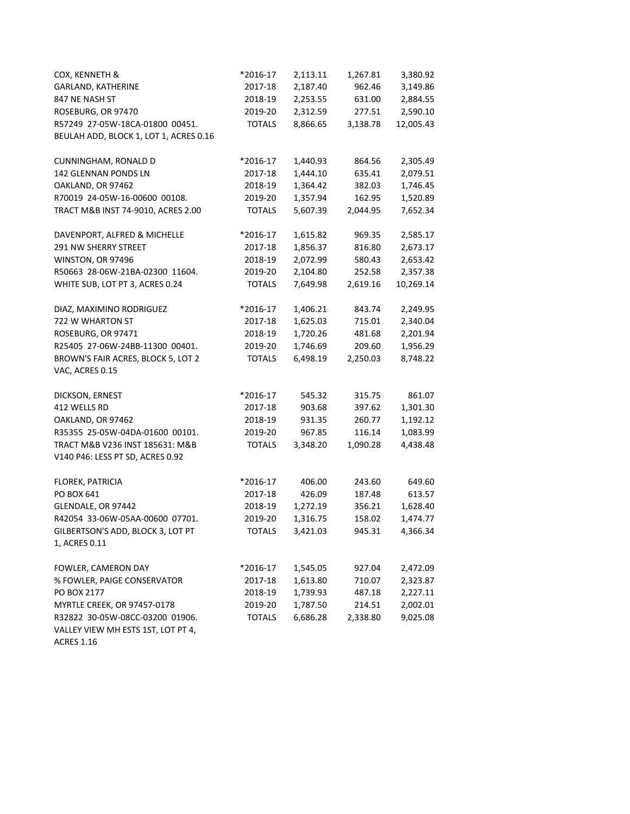| COX, KENNETH &                                                                             | *2016-17      | 2,113.11 | 1,267.81 | 3,380.92  |
|--------------------------------------------------------------------------------------------|---------------|----------|----------|-----------|
| <b>GARLAND, KATHERINE</b>                                                                  | 2017-18       | 2,187.40 | 962.46   | 3,149.86  |
| 847 NE NASH ST                                                                             | 2018-19       | 2,253.55 | 631.00   | 2,884.55  |
| ROSEBURG, OR 97470                                                                         | 2019-20       | 2,312.59 | 277.51   | 2,590.10  |
| R57249 27-05W-18CA-01800 00451.                                                            | <b>TOTALS</b> | 8,866.65 | 3,138.78 | 12,005.43 |
| BEULAH ADD, BLOCK 1, LOT 1, ACRES 0.16                                                     |               |          |          |           |
| CUNNINGHAM, RONALD D                                                                       | *2016-17      | 1,440.93 | 864.56   | 2,305.49  |
| 142 GLENNAN PONDS LN                                                                       | 2017-18       | 1,444.10 | 635.41   | 2,079.51  |
| OAKLAND, OR 97462                                                                          | 2018-19       | 1,364.42 | 382.03   | 1,746.45  |
| R70019 24-05W-16-00600 00108.                                                              | 2019-20       | 1,357.94 | 162.95   | 1,520.89  |
| TRACT M&B INST 74-9010, ACRES 2.00                                                         | <b>TOTALS</b> | 5,607.39 | 2,044.95 | 7,652.34  |
| DAVENPORT, ALFRED & MICHELLE                                                               | *2016-17      | 1,615.82 | 969.35   | 2,585.17  |
| 291 NW SHERRY STREET                                                                       | 2017-18       | 1,856.37 | 816.80   | 2,673.17  |
| WINSTON, OR 97496                                                                          | 2018-19       | 2,072.99 | 580.43   | 2,653.42  |
| R50663 28-06W-21BA-02300 11604.                                                            | 2019-20       | 2,104.80 | 252.58   | 2,357.38  |
| WHITE SUB, LOT PT 3, ACRES 0.24                                                            | <b>TOTALS</b> | 7,649.98 | 2,619.16 | 10,269.14 |
| DIAZ, MAXIMINO RODRIGUEZ                                                                   | *2016-17      | 1,406.21 | 843.74   | 2,249.95  |
| 722 W WHARTON ST                                                                           | 2017-18       | 1,625.03 | 715.01   | 2,340.04  |
| ROSEBURG, OR 97471                                                                         | 2018-19       | 1,720.26 | 481.68   | 2,201.94  |
| R25405 27-06W-24BB-11300 00401.                                                            | 2019-20       | 1,746.69 | 209.60   | 1,956.29  |
| BROWN'S FAIR ACRES, BLOCK 5, LOT 2                                                         | <b>TOTALS</b> | 6,498.19 | 2,250.03 | 8,748.22  |
| VAC, ACRES 0.15                                                                            |               |          |          |           |
| DICKSON, ERNEST                                                                            | *2016-17      | 545.32   | 315.75   | 861.07    |
| 412 WELLS RD                                                                               | 2017-18       | 903.68   | 397.62   | 1,301.30  |
| OAKLAND, OR 97462                                                                          | 2018-19       | 931.35   | 260.77   | 1,192.12  |
| R35355 25-05W-04DA-01600 00101.                                                            | 2019-20       | 967.85   | 116.14   | 1,083.99  |
| TRACT M&B V236 INST 185631: M&B<br>V140 P46: LESS PT SD, ACRES 0.92                        | <b>TOTALS</b> | 3,348.20 | 1,090.28 | 4,438.48  |
|                                                                                            |               |          |          |           |
| FLOREK, PATRICIA                                                                           | *2016-17      | 406.00   | 243.60   | 649.60    |
| PO BOX 641                                                                                 | 2017-18       | 426.09   | 187.48   | 613.57    |
| GLENDALE, OR 97442                                                                         | 2018-19       | 1,272.19 | 356.21   | 1,628.40  |
| R42054 33-06W-05AA-00600 07701.                                                            | 2019-20       | 1,316.75 | 158.02   | 1,474.77  |
| GILBERTSON'S ADD, BLOCK 3, LOT PT<br>1, ACRES 0.11                                         | <b>TOTALS</b> | 3,421.03 | 945.31   | 4,366.34  |
| FOWLER, CAMERON DAY                                                                        | *2016-17      | 1,545.05 | 927.04   | 2,472.09  |
| % FOWLER, PAIGE CONSERVATOR                                                                | 2017-18       | 1,613.80 | 710.07   | 2,323.87  |
| PO BOX 2177                                                                                | 2018-19       | 1,739.93 | 487.18   | 2,227.11  |
| MYRTLE CREEK, OR 97457-0178                                                                | 2019-20       | 1,787.50 | 214.51   | 2,002.01  |
| R32822 30-05W-08CC-03200 01906.<br>VALLEY VIEW MH ESTS 1ST, LOT PT 4,<br><b>ACRES 1.16</b> | <b>TOTALS</b> | 6,686.28 | 2,338.80 | 9,025.08  |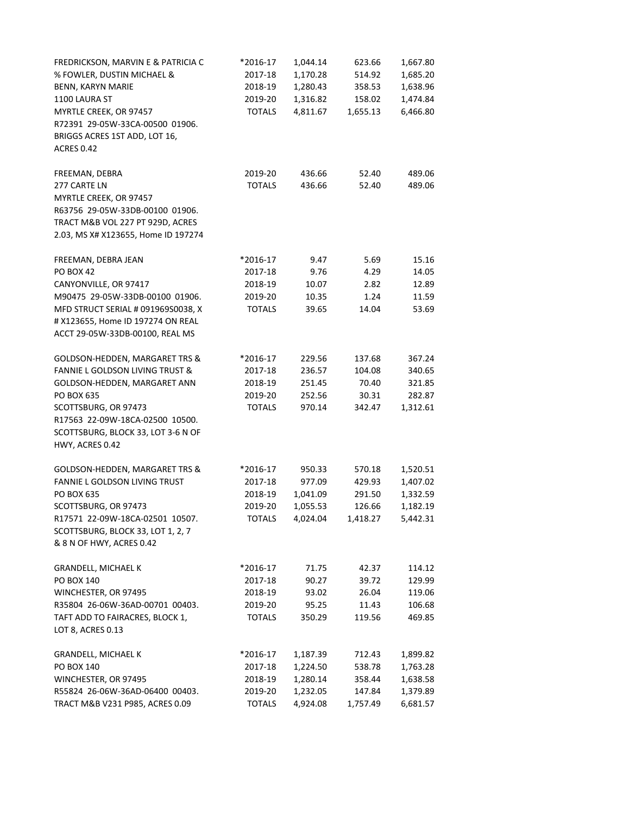| FREDRICKSON, MARVIN E & PATRICIA C  | *2016-17      | 1,044.14 | 623.66   | 1,667.80 |
|-------------------------------------|---------------|----------|----------|----------|
| % FOWLER, DUSTIN MICHAEL &          | 2017-18       | 1,170.28 | 514.92   | 1,685.20 |
| BENN, KARYN MARIE                   | 2018-19       | 1,280.43 | 358.53   | 1,638.96 |
| 1100 LAURA ST                       | 2019-20       | 1,316.82 | 158.02   | 1,474.84 |
| MYRTLE CREEK, OR 97457              | <b>TOTALS</b> | 4,811.67 | 1,655.13 | 6,466.80 |
| R72391 29-05W-33CA-00500 01906.     |               |          |          |          |
| BRIGGS ACRES 1ST ADD, LOT 16,       |               |          |          |          |
| <b>ACRES 0.42</b>                   |               |          |          |          |
|                                     |               |          |          |          |
| FREEMAN, DEBRA                      | 2019-20       | 436.66   | 52.40    | 489.06   |
| 277 CARTE LN                        | <b>TOTALS</b> | 436.66   | 52.40    | 489.06   |
| MYRTLE CREEK, OR 97457              |               |          |          |          |
| R63756 29-05W-33DB-00100 01906.     |               |          |          |          |
| TRACT M&B VOL 227 PT 929D, ACRES    |               |          |          |          |
| 2.03, MS X# X123655, Home ID 197274 |               |          |          |          |
|                                     |               |          |          |          |
| FREEMAN, DEBRA JEAN                 | *2016-17      | 9.47     | 5.69     | 15.16    |
| <b>PO BOX 42</b>                    | 2017-18       | 9.76     | 4.29     | 14.05    |
| CANYONVILLE, OR 97417               | 2018-19       | 10.07    | 2.82     | 12.89    |
| M90475 29-05W-33DB-00100 01906.     | 2019-20       | 10.35    | 1.24     | 11.59    |
| MFD STRUCT SERIAL # 091969S0038, X  | <b>TOTALS</b> | 39.65    | 14.04    | 53.69    |
| # X123655, Home ID 197274 ON REAL   |               |          |          |          |
| ACCT 29-05W-33DB-00100, REAL MS     |               |          |          |          |
|                                     |               |          |          |          |
| GOLDSON-HEDDEN, MARGARET TRS &      | *2016-17      | 229.56   | 137.68   | 367.24   |
| FANNIE L GOLDSON LIVING TRUST &     | 2017-18       | 236.57   | 104.08   | 340.65   |
| GOLDSON-HEDDEN, MARGARET ANN        | 2018-19       | 251.45   | 70.40    | 321.85   |
| PO BOX 635                          | 2019-20       | 252.56   | 30.31    | 282.87   |
| SCOTTSBURG, OR 97473                | <b>TOTALS</b> | 970.14   | 342.47   | 1,312.61 |
| R17563 22-09W-18CA-02500 10500.     |               |          |          |          |
| SCOTTSBURG, BLOCK 33, LOT 3-6 N OF  |               |          |          |          |
| HWY, ACRES 0.42                     |               |          |          |          |
| GOLDSON-HEDDEN, MARGARET TRS &      | *2016-17      | 950.33   | 570.18   | 1,520.51 |
| FANNIE L GOLDSON LIVING TRUST       | 2017-18       | 977.09   | 429.93   | 1,407.02 |
| <b>PO BOX 635</b>                   | 2018-19       | 1,041.09 | 291.50   | 1,332.59 |
| SCOTTSBURG, OR 97473                | 2019-20       | 1,055.53 | 126.66   | 1,182.19 |
| R17571 22-09W-18CA-02501 10507.     | <b>TOTALS</b> | 4,024.04 | 1,418.27 | 5,442.31 |
| SCOTTSBURG, BLOCK 33, LOT 1, 2, 7   |               |          |          |          |
| & 8 N OF HWY, ACRES 0.42            |               |          |          |          |
|                                     |               |          |          |          |
| <b>GRANDELL, MICHAEL K</b>          | *2016-17      | 71.75    | 42.37    | 114.12   |
| <b>PO BOX 140</b>                   | 2017-18       | 90.27    | 39.72    | 129.99   |
| WINCHESTER, OR 97495                | 2018-19       | 93.02    | 26.04    | 119.06   |
| R35804 26-06W-36AD-00701 00403.     | 2019-20       | 95.25    | 11.43    | 106.68   |
| TAFT ADD TO FAIRACRES, BLOCK 1,     | <b>TOTALS</b> | 350.29   | 119.56   | 469.85   |
| LOT 8, ACRES 0.13                   |               |          |          |          |
| <b>GRANDELL, MICHAEL K</b>          | *2016-17      | 1,187.39 | 712.43   | 1,899.82 |
| <b>PO BOX 140</b>                   | 2017-18       | 1,224.50 | 538.78   | 1,763.28 |
| WINCHESTER, OR 97495                | 2018-19       | 1,280.14 |          |          |
| R55824 26-06W-36AD-06400 00403.     | 2019-20       | 1,232.05 | 358.44   | 1,638.58 |
|                                     |               |          | 147.84   | 1,379.89 |
| TRACT M&B V231 P985, ACRES 0.09     | <b>TOTALS</b> | 4,924.08 | 1,757.49 | 6,681.57 |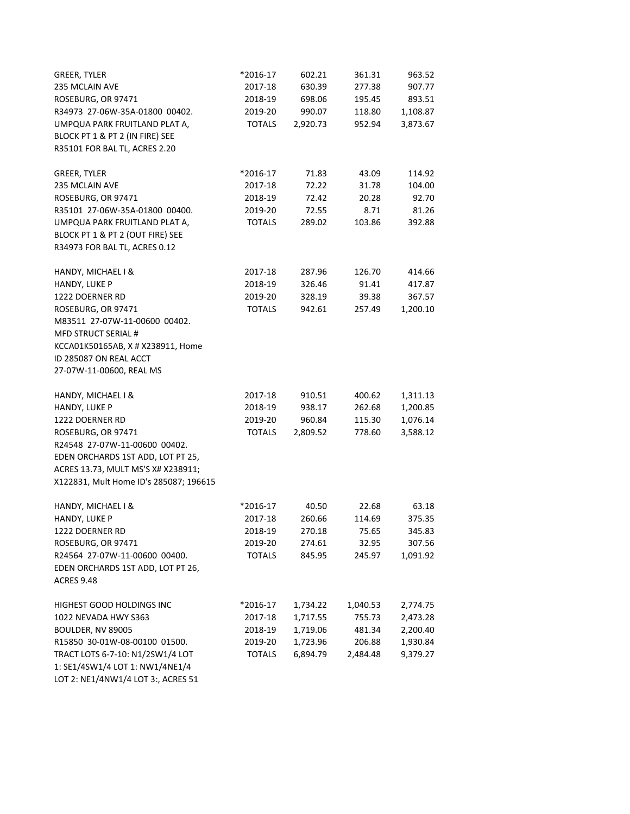| <b>GREER, TYLER</b>                    | *2016-17      | 602.21   | 361.31   | 963.52   |
|----------------------------------------|---------------|----------|----------|----------|
| 235 MCLAIN AVE                         | 2017-18       | 630.39   | 277.38   | 907.77   |
| ROSEBURG, OR 97471                     | 2018-19       | 698.06   | 195.45   | 893.51   |
| R34973 27-06W-35A-01800 00402.         | 2019-20       | 990.07   | 118.80   | 1,108.87 |
| UMPQUA PARK FRUITLAND PLAT A,          | <b>TOTALS</b> | 2,920.73 | 952.94   | 3,873.67 |
| BLOCK PT 1 & PT 2 (IN FIRE) SEE        |               |          |          |          |
| R35101 FOR BAL TL, ACRES 2.20          |               |          |          |          |
|                                        |               |          |          |          |
| GREER, TYLER                           | *2016-17      | 71.83    | 43.09    | 114.92   |
| 235 MCLAIN AVE                         | 2017-18       | 72.22    | 31.78    | 104.00   |
| ROSEBURG, OR 97471                     | 2018-19       | 72.42    | 20.28    | 92.70    |
| R35101 27-06W-35A-01800 00400.         | 2019-20       | 72.55    | 8.71     | 81.26    |
| UMPQUA PARK FRUITLAND PLAT A,          | <b>TOTALS</b> | 289.02   | 103.86   | 392.88   |
| BLOCK PT 1 & PT 2 (OUT FIRE) SEE       |               |          |          |          |
| R34973 FOR BAL TL, ACRES 0.12          |               |          |          |          |
| HANDY, MICHAEL I &                     | 2017-18       | 287.96   | 126.70   | 414.66   |
| HANDY, LUKE P                          | 2018-19       | 326.46   | 91.41    | 417.87   |
| 1222 DOERNER RD                        | 2019-20       | 328.19   | 39.38    | 367.57   |
| ROSEBURG, OR 97471                     | <b>TOTALS</b> | 942.61   | 257.49   | 1,200.10 |
| M83511 27-07W-11-00600 00402.          |               |          |          |          |
| <b>MFD STRUCT SERIAL #</b>             |               |          |          |          |
| KCCA01K50165AB, X # X238911, Home      |               |          |          |          |
| ID 285087 ON REAL ACCT                 |               |          |          |          |
| 27-07W-11-00600, REAL MS               |               |          |          |          |
| HANDY, MICHAEL I &                     | 2017-18       | 910.51   | 400.62   | 1,311.13 |
| HANDY, LUKE P                          | 2018-19       | 938.17   | 262.68   | 1,200.85 |
| 1222 DOERNER RD                        | 2019-20       | 960.84   | 115.30   | 1,076.14 |
| ROSEBURG, OR 97471                     | <b>TOTALS</b> | 2,809.52 | 778.60   | 3,588.12 |
| R24548 27-07W-11-00600 00402.          |               |          |          |          |
| EDEN ORCHARDS 1ST ADD, LOT PT 25,      |               |          |          |          |
| ACRES 13.73, MULT MS'S X# X238911;     |               |          |          |          |
| X122831, Mult Home ID's 285087; 196615 |               |          |          |          |
|                                        | *2016-17      | 40.50    | 22.68    | 63.18    |
| HANDY, MICHAEL I &<br>HANDY, LUKE P    | 2017-18       | 260.66   | 114.69   | 375.35   |
| 1222 DOERNER RD                        | 2018-19       | 270.18   | 75.65    | 345.83   |
| ROSEBURG, OR 97471                     | 2019-20       | 274.61   | 32.95    | 307.56   |
| R24564 27-07W-11-00600 00400.          | <b>TOTALS</b> | 845.95   | 245.97   | 1,091.92 |
| EDEN ORCHARDS 1ST ADD, LOT PT 26,      |               |          |          |          |
| <b>ACRES 9.48</b>                      |               |          |          |          |
|                                        |               |          |          |          |
| HIGHEST GOOD HOLDINGS INC              | *2016-17      | 1,734.22 | 1,040.53 | 2,774.75 |
| 1022 NEVADA HWY S363                   | 2017-18       | 1,717.55 | 755.73   | 2,473.28 |
| BOULDER, NV 89005                      | 2018-19       | 1,719.06 | 481.34   | 2,200.40 |
| R15850 30-01W-08-00100 01500.          | 2019-20       | 1,723.96 | 206.88   | 1,930.84 |
| TRACT LOTS 6-7-10: N1/2SW1/4 LOT       | <b>TOTALS</b> | 6,894.79 | 2,484.48 | 9,379.27 |
| 1: SE1/4SW1/4 LOT 1: NW1/4NE1/4        |               |          |          |          |

LOT 2: NE1/4NW1/4 LOT 3:, ACRES 51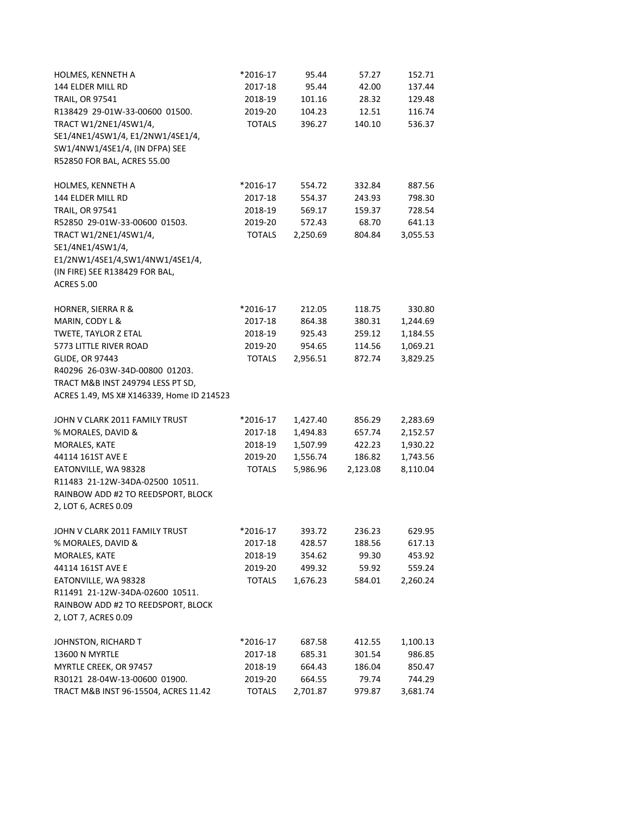| HOLMES, KENNETH A                         | *2016-17      | 95.44    | 57.27    | 152.71   |
|-------------------------------------------|---------------|----------|----------|----------|
| 144 ELDER MILL RD                         | 2017-18       | 95.44    | 42.00    | 137.44   |
| <b>TRAIL, OR 97541</b>                    | 2018-19       | 101.16   | 28.32    | 129.48   |
| R138429 29-01W-33-00600 01500.            | 2019-20       | 104.23   | 12.51    | 116.74   |
| TRACT W1/2NE1/4SW1/4,                     | <b>TOTALS</b> | 396.27   | 140.10   | 536.37   |
| SE1/4NE1/4SW1/4, E1/2NW1/4SE1/4,          |               |          |          |          |
| SW1/4NW1/4SE1/4, (IN DFPA) SEE            |               |          |          |          |
| R52850 FOR BAL, ACRES 55.00               |               |          |          |          |
|                                           |               |          |          |          |
| HOLMES, KENNETH A                         | *2016-17      | 554.72   | 332.84   | 887.56   |
| 144 ELDER MILL RD                         | 2017-18       | 554.37   | 243.93   | 798.30   |
| <b>TRAIL, OR 97541</b>                    | 2018-19       | 569.17   | 159.37   | 728.54   |
| R52850 29-01W-33-00600 01503.             | 2019-20       | 572.43   | 68.70    | 641.13   |
| TRACT W1/2NE1/4SW1/4,                     | <b>TOTALS</b> | 2,250.69 | 804.84   | 3,055.53 |
| SE1/4NE1/4SW1/4,                          |               |          |          |          |
| E1/2NW1/4SE1/4,SW1/4NW1/4SE1/4,           |               |          |          |          |
| (IN FIRE) SEE R138429 FOR BAL,            |               |          |          |          |
| <b>ACRES 5.00</b>                         |               |          |          |          |
|                                           |               |          |          |          |
| HORNER, SIERRA R &                        | *2016-17      | 212.05   | 118.75   | 330.80   |
| MARIN, CODY L &                           | 2017-18       | 864.38   | 380.31   | 1,244.69 |
| TWETE, TAYLOR Z ETAL                      | 2018-19       | 925.43   | 259.12   | 1,184.55 |
| 5773 LITTLE RIVER ROAD                    | 2019-20       | 954.65   | 114.56   | 1,069.21 |
| <b>GLIDE, OR 97443</b>                    | <b>TOTALS</b> | 2,956.51 | 872.74   | 3,829.25 |
| R40296 26-03W-34D-00800 01203.            |               |          |          |          |
| TRACT M&B INST 249794 LESS PT SD,         |               |          |          |          |
| ACRES 1.49, MS X# X146339, Home ID 214523 |               |          |          |          |
|                                           |               |          |          |          |
| JOHN V CLARK 2011 FAMILY TRUST            | *2016-17      | 1,427.40 | 856.29   | 2,283.69 |
| % MORALES, DAVID &                        | 2017-18       | 1,494.83 | 657.74   | 2,152.57 |
| MORALES, KATE                             | 2018-19       | 1,507.99 | 422.23   | 1,930.22 |
| 44114 161ST AVE E                         | 2019-20       | 1,556.74 | 186.82   | 1,743.56 |
| EATONVILLE, WA 98328                      | <b>TOTALS</b> | 5,986.96 | 2,123.08 | 8,110.04 |
| R11483 21-12W-34DA-02500 10511.           |               |          |          |          |
| RAINBOW ADD #2 TO REEDSPORT, BLOCK        |               |          |          |          |
| 2, LOT 6, ACRES 0.09                      |               |          |          |          |
|                                           |               |          |          |          |
| JOHN V CLARK 2011 FAMILY TRUST            | *2016-17      | 393.72   | 236.23   | 629.95   |
| % MORALES, DAVID &                        | 2017-18       | 428.57   | 188.56   | 617.13   |
| MORALES, KATE                             | 2018-19       | 354.62   | 99.30    | 453.92   |
| 44114 161ST AVE E                         | 2019-20       | 499.32   | 59.92    | 559.24   |
| EATONVILLE, WA 98328                      | <b>TOTALS</b> | 1,676.23 | 584.01   | 2,260.24 |
| R11491 21-12W-34DA-02600 10511.           |               |          |          |          |
| RAINBOW ADD #2 TO REEDSPORT, BLOCK        |               |          |          |          |
| 2, LOT 7, ACRES 0.09                      |               |          |          |          |
|                                           |               |          |          |          |
| JOHNSTON, RICHARD T                       | *2016-17      | 687.58   | 412.55   | 1,100.13 |
| 13600 N MYRTLE                            | 2017-18       | 685.31   | 301.54   | 986.85   |
| MYRTLE CREEK, OR 97457                    | 2018-19       | 664.43   | 186.04   | 850.47   |
| R30121 28-04W-13-00600 01900.             | 2019-20       | 664.55   | 79.74    | 744.29   |
| TRACT M&B INST 96-15504, ACRES 11.42      | <b>TOTALS</b> | 2,701.87 | 979.87   | 3,681.74 |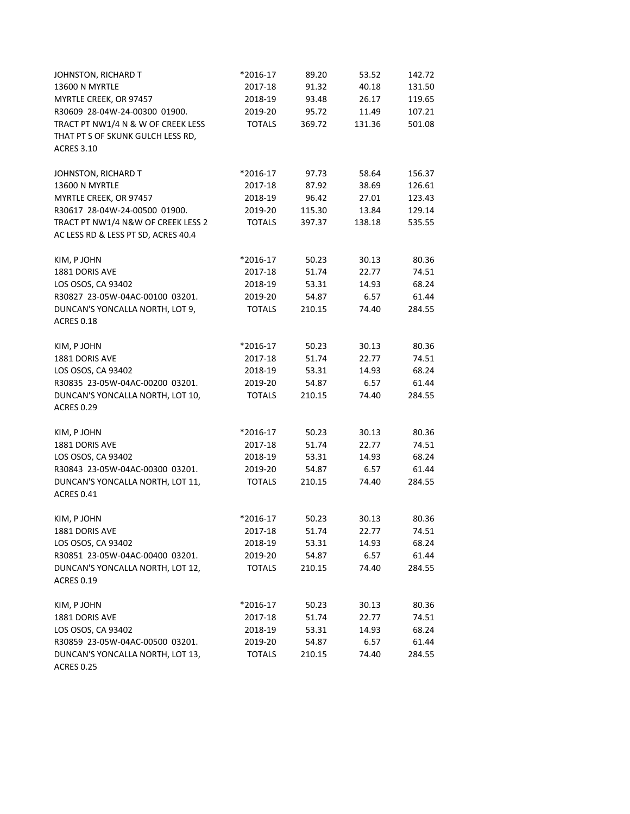| JOHNSTON, RICHARD T                 | *2016-17      | 89.20  | 53.52  | 142.72 |
|-------------------------------------|---------------|--------|--------|--------|
| 13600 N MYRTLE                      | 2017-18       | 91.32  | 40.18  | 131.50 |
| MYRTLE CREEK, OR 97457              | 2018-19       | 93.48  | 26.17  | 119.65 |
| R30609 28-04W-24-00300 01900.       | 2019-20       | 95.72  | 11.49  | 107.21 |
| TRACT PT NW1/4 N & W OF CREEK LESS  | <b>TOTALS</b> | 369.72 | 131.36 | 501.08 |
| THAT PT S OF SKUNK GULCH LESS RD,   |               |        |        |        |
| <b>ACRES 3.10</b>                   |               |        |        |        |
|                                     |               |        |        |        |
| JOHNSTON, RICHARD T                 | *2016-17      | 97.73  | 58.64  | 156.37 |
| 13600 N MYRTLE                      | 2017-18       | 87.92  | 38.69  | 126.61 |
| MYRTLE CREEK, OR 97457              | 2018-19       | 96.42  | 27.01  | 123.43 |
| R30617 28-04W-24-00500 01900.       | 2019-20       | 115.30 | 13.84  | 129.14 |
| TRACT PT NW1/4 N&W OF CREEK LESS 2  | <b>TOTALS</b> | 397.37 | 138.18 | 535.55 |
| AC LESS RD & LESS PT SD, ACRES 40.4 |               |        |        |        |
|                                     |               |        |        |        |
| KIM, P JOHN                         | *2016-17      | 50.23  | 30.13  | 80.36  |
| 1881 DORIS AVE                      | 2017-18       | 51.74  | 22.77  | 74.51  |
| LOS OSOS, CA 93402                  | 2018-19       | 53.31  | 14.93  | 68.24  |
| R30827 23-05W-04AC-00100 03201.     | 2019-20       | 54.87  | 6.57   | 61.44  |
| DUNCAN'S YONCALLA NORTH, LOT 9,     | <b>TOTALS</b> | 210.15 | 74.40  | 284.55 |
| <b>ACRES 0.18</b>                   |               |        |        |        |
|                                     |               |        |        |        |
| KIM, P JOHN                         | *2016-17      | 50.23  | 30.13  | 80.36  |
| 1881 DORIS AVE                      | 2017-18       | 51.74  | 22.77  | 74.51  |
| LOS OSOS, CA 93402                  | 2018-19       | 53.31  | 14.93  | 68.24  |
| R30835 23-05W-04AC-00200 03201.     | 2019-20       | 54.87  | 6.57   | 61.44  |
| DUNCAN'S YONCALLA NORTH, LOT 10,    | <b>TOTALS</b> | 210.15 | 74.40  | 284.55 |
| <b>ACRES 0.29</b>                   |               |        |        |        |
|                                     |               |        |        |        |
| KIM, P JOHN                         | *2016-17      | 50.23  | 30.13  | 80.36  |
| 1881 DORIS AVE                      | 2017-18       | 51.74  | 22.77  | 74.51  |
| LOS OSOS, CA 93402                  | 2018-19       | 53.31  | 14.93  | 68.24  |
| R30843 23-05W-04AC-00300 03201.     | 2019-20       | 54.87  | 6.57   | 61.44  |
| DUNCAN'S YONCALLA NORTH, LOT 11,    | <b>TOTALS</b> | 210.15 | 74.40  | 284.55 |
| <b>ACRES 0.41</b>                   |               |        |        |        |
|                                     |               |        |        |        |
| KIM, P JOHN                         | *2016-17      | 50.23  | 30.13  | 80.36  |
| 1881 DORIS AVE                      | 2017-18       | 51.74  | 22.77  | 74.51  |
| LOS OSOS, CA 93402                  | 2018-19       | 53.31  | 14.93  | 68.24  |
| R30851 23-05W-04AC-00400 03201.     | 2019-20       | 54.87  | 6.57   | 61.44  |
| DUNCAN'S YONCALLA NORTH, LOT 12,    | <b>TOTALS</b> | 210.15 | 74.40  | 284.55 |
| <b>ACRES 0.19</b>                   |               |        |        |        |
|                                     |               |        |        |        |
| KIM, P JOHN                         | *2016-17      | 50.23  | 30.13  | 80.36  |
| 1881 DORIS AVE                      | 2017-18       | 51.74  | 22.77  | 74.51  |
| LOS OSOS, CA 93402                  | 2018-19       | 53.31  | 14.93  | 68.24  |
| R30859 23-05W-04AC-00500 03201.     | 2019-20       | 54.87  | 6.57   | 61.44  |
| DUNCAN'S YONCALLA NORTH, LOT 13,    | <b>TOTALS</b> | 210.15 | 74.40  | 284.55 |
| <b>ACRES 0.25</b>                   |               |        |        |        |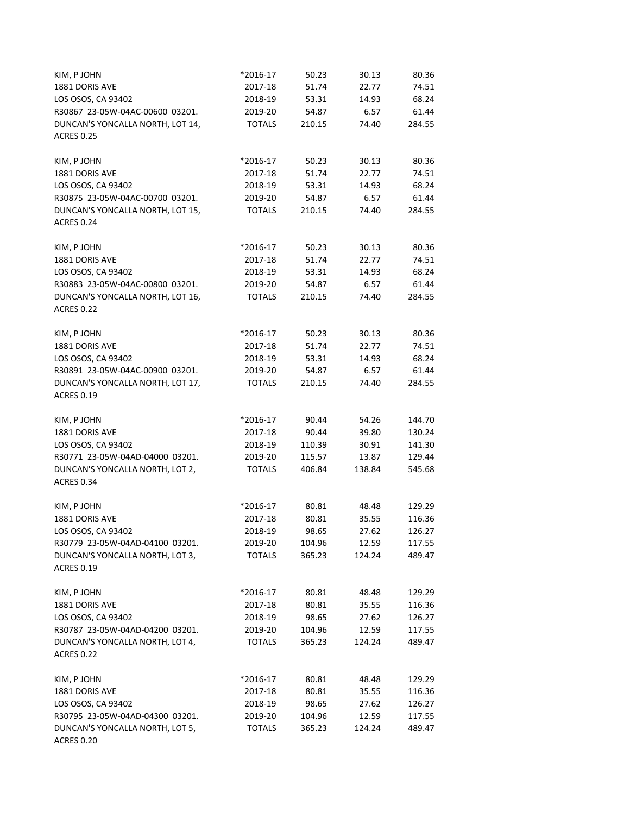| KIM, P JOHN                          | *2016-17           | 50.23          | 30.13          | 80.36          |
|--------------------------------------|--------------------|----------------|----------------|----------------|
| 1881 DORIS AVE                       | 2017-18            | 51.74          | 22.77          | 74.51          |
| LOS OSOS, CA 93402                   | 2018-19            | 53.31          | 14.93          | 68.24          |
| R30867 23-05W-04AC-00600 03201.      | 2019-20            | 54.87          | 6.57           | 61.44          |
| DUNCAN'S YONCALLA NORTH, LOT 14,     | <b>TOTALS</b>      | 210.15         | 74.40          | 284.55         |
| <b>ACRES 0.25</b>                    |                    |                |                |                |
|                                      |                    |                |                |                |
| KIM, P JOHN                          | *2016-17           | 50.23          | 30.13          | 80.36          |
| 1881 DORIS AVE                       | 2017-18            | 51.74          | 22.77          | 74.51          |
| LOS OSOS, CA 93402                   | 2018-19            | 53.31          | 14.93          | 68.24          |
| R30875 23-05W-04AC-00700 03201.      | 2019-20            | 54.87          | 6.57           | 61.44          |
| DUNCAN'S YONCALLA NORTH, LOT 15,     | <b>TOTALS</b>      | 210.15         | 74.40          | 284.55         |
| <b>ACRES 0.24</b>                    |                    |                |                |                |
|                                      |                    |                |                |                |
| KIM, P JOHN                          | *2016-17           | 50.23          | 30.13          | 80.36          |
| 1881 DORIS AVE                       | 2017-18            | 51.74          | 22.77          | 74.51          |
| LOS OSOS, CA 93402                   | 2018-19            | 53.31          | 14.93          | 68.24          |
| R30883 23-05W-04AC-00800 03201.      | 2019-20            | 54.87          | 6.57           | 61.44          |
| DUNCAN'S YONCALLA NORTH, LOT 16,     | <b>TOTALS</b>      | 210.15         | 74.40          | 284.55         |
| <b>ACRES 0.22</b>                    |                    |                |                |                |
|                                      |                    |                |                |                |
| KIM, P JOHN                          | *2016-17           | 50.23          | 30.13<br>22.77 | 80.36          |
| 1881 DORIS AVE<br>LOS OSOS, CA 93402 | 2017-18<br>2018-19 | 51.74<br>53.31 | 14.93          | 74.51<br>68.24 |
|                                      |                    |                |                |                |
| R30891 23-05W-04AC-00900 03201.      | 2019-20            | 54.87          | 6.57           | 61.44          |
| DUNCAN'S YONCALLA NORTH, LOT 17,     | <b>TOTALS</b>      | 210.15         | 74.40          | 284.55         |
| <b>ACRES 0.19</b>                    |                    |                |                |                |
| KIM, P JOHN                          | *2016-17           | 90.44          | 54.26          | 144.70         |
| 1881 DORIS AVE                       | 2017-18            | 90.44          | 39.80          | 130.24         |
| LOS OSOS, CA 93402                   | 2018-19            | 110.39         | 30.91          | 141.30         |
| R30771 23-05W-04AD-04000 03201.      | 2019-20            | 115.57         | 13.87          | 129.44         |
| DUNCAN'S YONCALLA NORTH, LOT 2,      | <b>TOTALS</b>      | 406.84         | 138.84         | 545.68         |
| <b>ACRES 0.34</b>                    |                    |                |                |                |
|                                      |                    |                |                |                |
| KIM, P JOHN                          | *2016-17           | 80.81          | 48.48          | 129.29         |
| 1881 DORIS AVE                       | 2017-18            | 80.81          | 35.55          | 116.36         |
| LOS OSOS, CA 93402                   | 2018-19            | 98.65          | 27.62          | 126.27         |
| R30779 23-05W-04AD-04100 03201.      | 2019-20            | 104.96         | 12.59          | 117.55         |
| DUNCAN'S YONCALLA NORTH, LOT 3,      | <b>TOTALS</b>      | 365.23         | 124.24         | 489.47         |
| <b>ACRES 0.19</b>                    |                    |                |                |                |
| KIM, P JOHN                          | *2016-17           | 80.81          | 48.48          | 129.29         |
| 1881 DORIS AVE                       | 2017-18            | 80.81          | 35.55          | 116.36         |
| LOS OSOS, CA 93402                   | 2018-19            | 98.65          | 27.62          | 126.27         |
| R30787 23-05W-04AD-04200 03201.      | 2019-20            | 104.96         | 12.59          | 117.55         |
| DUNCAN'S YONCALLA NORTH, LOT 4,      | <b>TOTALS</b>      | 365.23         | 124.24         | 489.47         |
| <b>ACRES 0.22</b>                    |                    |                |                |                |
|                                      |                    |                |                |                |
| KIM, P JOHN                          | *2016-17           | 80.81          | 48.48          | 129.29         |
| 1881 DORIS AVE                       | 2017-18            | 80.81          | 35.55          | 116.36         |
| LOS OSOS, CA 93402                   | 2018-19            | 98.65          | 27.62          | 126.27         |
| R30795 23-05W-04AD-04300 03201.      | 2019-20            | 104.96         | 12.59          | 117.55         |
| DUNCAN'S YONCALLA NORTH, LOT 5,      | <b>TOTALS</b>      | 365.23         | 124.24         | 489.47         |
| <b>ACRES 0.20</b>                    |                    |                |                |                |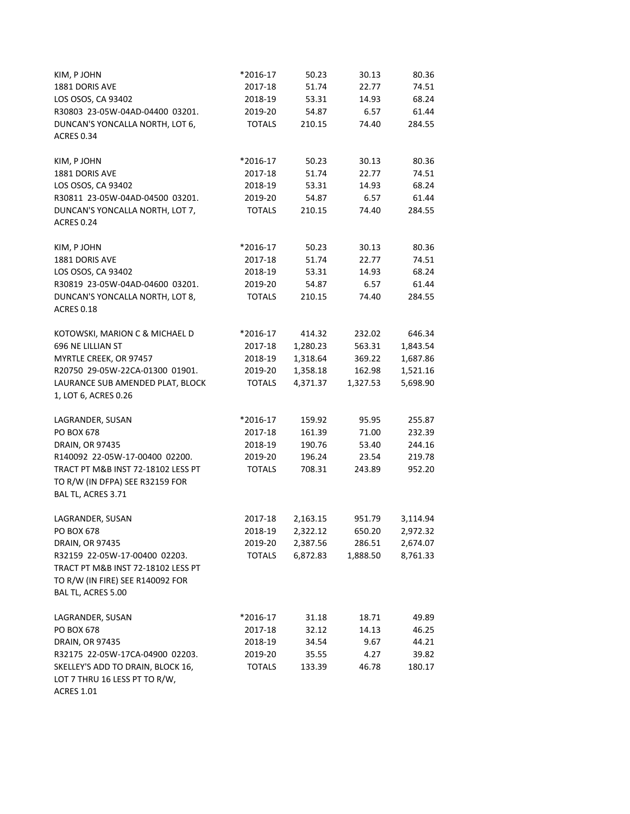| KIM, P JOHN                                           | *2016-17      | 50.23    | 30.13    | 80.36    |
|-------------------------------------------------------|---------------|----------|----------|----------|
| 1881 DORIS AVE                                        | 2017-18       | 51.74    | 22.77    | 74.51    |
| LOS OSOS, CA 93402                                    | 2018-19       | 53.31    | 14.93    | 68.24    |
| R30803 23-05W-04AD-04400 03201.                       | 2019-20       | 54.87    | 6.57     | 61.44    |
| DUNCAN'S YONCALLA NORTH, LOT 6,                       | <b>TOTALS</b> | 210.15   | 74.40    | 284.55   |
| <b>ACRES 0.34</b>                                     |               |          |          |          |
| KIM, P JOHN                                           | *2016-17      | 50.23    | 30.13    | 80.36    |
| 1881 DORIS AVE                                        | 2017-18       | 51.74    | 22.77    | 74.51    |
| LOS OSOS, CA 93402                                    | 2018-19       | 53.31    | 14.93    | 68.24    |
| R30811 23-05W-04AD-04500 03201.                       | 2019-20       | 54.87    | 6.57     | 61.44    |
| DUNCAN'S YONCALLA NORTH, LOT 7,                       | <b>TOTALS</b> | 210.15   | 74.40    | 284.55   |
| <b>ACRES 0.24</b>                                     |               |          |          |          |
| KIM, P JOHN                                           | *2016-17      | 50.23    | 30.13    | 80.36    |
| 1881 DORIS AVE                                        | 2017-18       | 51.74    | 22.77    | 74.51    |
| LOS OSOS, CA 93402                                    | 2018-19       | 53.31    | 14.93    | 68.24    |
| R30819 23-05W-04AD-04600 03201.                       | 2019-20       | 54.87    | 6.57     | 61.44    |
| DUNCAN'S YONCALLA NORTH, LOT 8,                       | <b>TOTALS</b> | 210.15   | 74.40    | 284.55   |
| <b>ACRES 0.18</b>                                     |               |          |          |          |
| KOTOWSKI, MARION C & MICHAEL D                        | *2016-17      | 414.32   | 232.02   | 646.34   |
| 696 NE LILLIAN ST                                     | 2017-18       | 1,280.23 | 563.31   | 1,843.54 |
| MYRTLE CREEK, OR 97457                                | 2018-19       | 1,318.64 | 369.22   | 1,687.86 |
| R20750 29-05W-22CA-01300 01901.                       | 2019-20       | 1,358.18 | 162.98   | 1,521.16 |
| LAURANCE SUB AMENDED PLAT, BLOCK                      | <b>TOTALS</b> | 4,371.37 | 1,327.53 | 5,698.90 |
| 1, LOT 6, ACRES 0.26                                  |               |          |          |          |
| LAGRANDER, SUSAN                                      | *2016-17      | 159.92   | 95.95    | 255.87   |
| PO BOX 678                                            | 2017-18       | 161.39   | 71.00    | 232.39   |
| DRAIN, OR 97435                                       | 2018-19       | 190.76   | 53.40    | 244.16   |
| R140092 22-05W-17-00400 02200.                        | 2019-20       | 196.24   | 23.54    | 219.78   |
| TRACT PT M&B INST 72-18102 LESS PT                    | <b>TOTALS</b> | 708.31   | 243.89   | 952.20   |
| TO R/W (IN DFPA) SEE R32159 FOR<br>BAL TL, ACRES 3.71 |               |          |          |          |
|                                                       |               |          |          |          |
| LAGRANDER, SUSAN                                      | 2017-18       | 2,163.15 | 951.79   | 3,114.94 |
| PO BOX 678                                            | 2018-19       | 2,322.12 | 650.20   | 2,972.32 |
| DRAIN, OR 97435                                       | 2019-20       | 2,387.56 | 286.51   | 2,674.07 |
| R32159 22-05W-17-00400 02203.                         | <b>TOTALS</b> | 6,872.83 | 1,888.50 | 8,761.33 |
| TRACT PT M&B INST 72-18102 LESS PT                    |               |          |          |          |
| TO R/W (IN FIRE) SEE R140092 FOR                      |               |          |          |          |
| BAL TL, ACRES 5.00                                    |               |          |          |          |
| LAGRANDER, SUSAN                                      | *2016-17      | 31.18    | 18.71    | 49.89    |
| PO BOX 678                                            | 2017-18       | 32.12    | 14.13    | 46.25    |
| DRAIN, OR 97435                                       | 2018-19       | 34.54    | 9.67     | 44.21    |
| R32175 22-05W-17CA-04900 02203.                       | 2019-20       | 35.55    | 4.27     | 39.82    |
| SKELLEY'S ADD TO DRAIN, BLOCK 16,                     | <b>TOTALS</b> | 133.39   | 46.78    | 180.17   |
| LOT 7 THRU 16 LESS PT TO R/W,                         |               |          |          |          |
| <b>ACRES 1.01</b>                                     |               |          |          |          |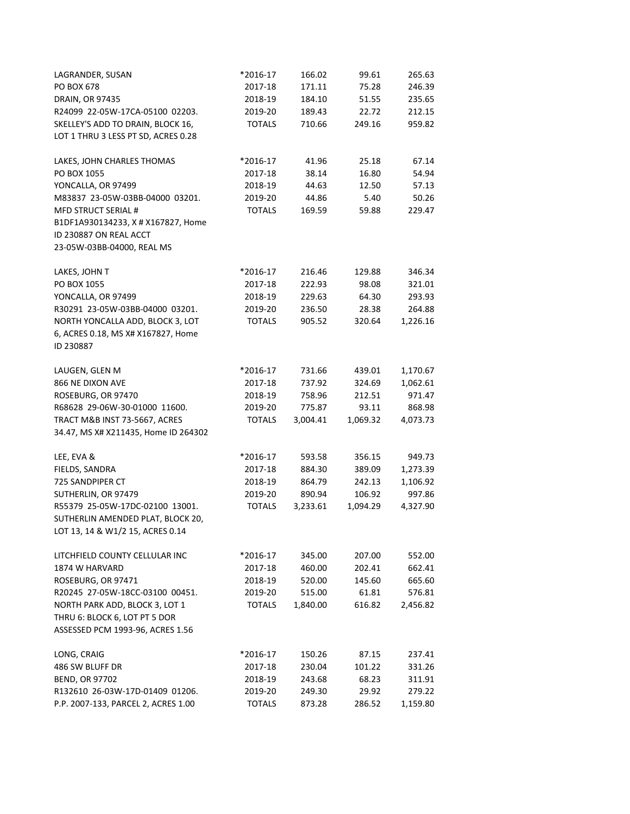| LAGRANDER, SUSAN                     | *2016-17      | 166.02   | 99.61    | 265.63   |
|--------------------------------------|---------------|----------|----------|----------|
| PO BOX 678                           | 2017-18       | 171.11   | 75.28    | 246.39   |
| DRAIN, OR 97435                      | 2018-19       | 184.10   | 51.55    | 235.65   |
| R24099 22-05W-17CA-05100 02203.      | 2019-20       | 189.43   | 22.72    | 212.15   |
| SKELLEY'S ADD TO DRAIN, BLOCK 16,    | <b>TOTALS</b> | 710.66   | 249.16   | 959.82   |
| LOT 1 THRU 3 LESS PT SD, ACRES 0.28  |               |          |          |          |
| LAKES, JOHN CHARLES THOMAS           | *2016-17      | 41.96    | 25.18    | 67.14    |
| PO BOX 1055                          | 2017-18       | 38.14    | 16.80    | 54.94    |
| YONCALLA, OR 97499                   | 2018-19       | 44.63    | 12.50    | 57.13    |
| M83837 23-05W-03BB-04000 03201.      | 2019-20       | 44.86    | 5.40     | 50.26    |
| <b>MFD STRUCT SERIAL #</b>           | <b>TOTALS</b> | 169.59   | 59.88    | 229.47   |
| B1DF1A930134233, X # X167827, Home   |               |          |          |          |
| ID 230887 ON REAL ACCT               |               |          |          |          |
| 23-05W-03BB-04000, REAL MS           |               |          |          |          |
| LAKES, JOHN T                        | *2016-17      | 216.46   | 129.88   | 346.34   |
| PO BOX 1055                          | 2017-18       | 222.93   | 98.08    | 321.01   |
| YONCALLA, OR 97499                   | 2018-19       | 229.63   | 64.30    | 293.93   |
| R30291 23-05W-03BB-04000 03201.      | 2019-20       | 236.50   | 28.38    | 264.88   |
| NORTH YONCALLA ADD, BLOCK 3, LOT     | <b>TOTALS</b> | 905.52   | 320.64   | 1,226.16 |
| 6, ACRES 0.18, MS X# X167827, Home   |               |          |          |          |
| ID 230887                            |               |          |          |          |
| LAUGEN, GLEN M                       | *2016-17      | 731.66   | 439.01   | 1,170.67 |
| 866 NE DIXON AVE                     | 2017-18       | 737.92   | 324.69   | 1,062.61 |
| ROSEBURG, OR 97470                   | 2018-19       | 758.96   | 212.51   | 971.47   |
| R68628 29-06W-30-01000 11600.        | 2019-20       | 775.87   | 93.11    | 868.98   |
| TRACT M&B INST 73-5667, ACRES        | <b>TOTALS</b> | 3,004.41 | 1,069.32 | 4,073.73 |
| 34.47, MS X# X211435, Home ID 264302 |               |          |          |          |
| LEE, EVA &                           | *2016-17      | 593.58   | 356.15   | 949.73   |
| FIELDS, SANDRA                       | 2017-18       | 884.30   | 389.09   | 1,273.39 |
| 725 SANDPIPER CT                     | 2018-19       | 864.79   | 242.13   | 1,106.92 |
| SUTHERLIN, OR 97479                  | 2019-20       | 890.94   | 106.92   | 997.86   |
| R55379 25-05W-17DC-02100 13001.      | <b>TOTALS</b> | 3,233.61 | 1,094.29 | 4,327.90 |
| SUTHERLIN AMENDED PLAT, BLOCK 20,    |               |          |          |          |
| LOT 13, 14 & W1/2 15, ACRES 0.14     |               |          |          |          |
| LITCHFIELD COUNTY CELLULAR INC       | *2016-17      | 345.00   | 207.00   | 552.00   |
| 1874 W HARVARD                       | 2017-18       | 460.00   | 202.41   | 662.41   |
| ROSEBURG, OR 97471                   | 2018-19       | 520.00   | 145.60   | 665.60   |
| R20245 27-05W-18CC-03100 00451.      | 2019-20       | 515.00   | 61.81    | 576.81   |
| NORTH PARK ADD, BLOCK 3, LOT 1       | <b>TOTALS</b> | 1,840.00 | 616.82   | 2,456.82 |
| THRU 6: BLOCK 6, LOT PT 5 DOR        |               |          |          |          |
| ASSESSED PCM 1993-96, ACRES 1.56     |               |          |          |          |
| LONG, CRAIG                          | *2016-17      | 150.26   | 87.15    | 237.41   |
| 486 SW BLUFF DR                      | 2017-18       | 230.04   | 101.22   | 331.26   |
| <b>BEND, OR 97702</b>                | 2018-19       | 243.68   | 68.23    | 311.91   |
| R132610 26-03W-17D-01409 01206.      | 2019-20       | 249.30   | 29.92    | 279.22   |
| P.P. 2007-133, PARCEL 2, ACRES 1.00  | <b>TOTALS</b> | 873.28   | 286.52   | 1,159.80 |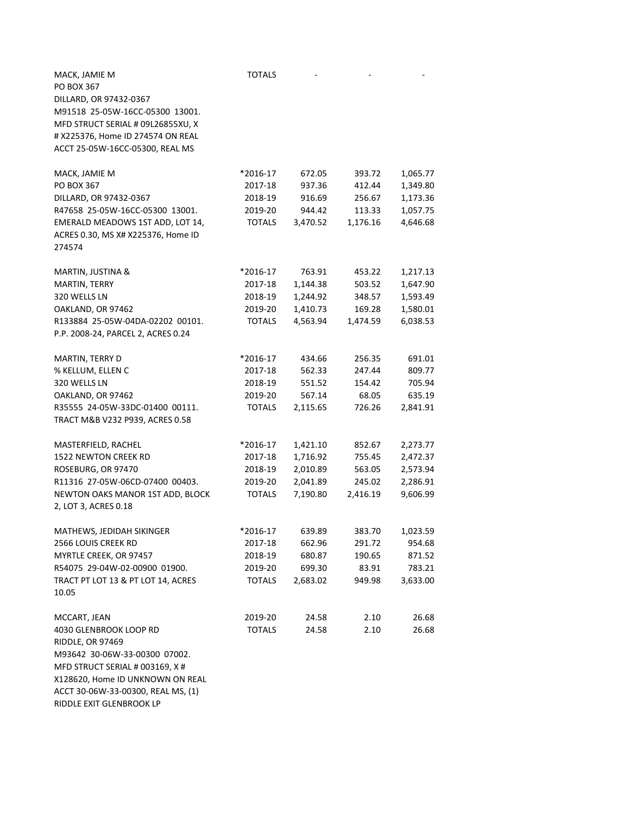| MACK, JAMIE M<br>PO BOX 367<br>DILLARD, OR 97432-0367<br>M91518 25-05W-16CC-05300 13001.<br>MFD STRUCT SERIAL # 09L26855XU, X<br># X225376, Home ID 274574 ON REAL<br>ACCT 25-05W-16CC-05300, REAL MS | <b>TOTALS</b> |          |          |          |
|-------------------------------------------------------------------------------------------------------------------------------------------------------------------------------------------------------|---------------|----------|----------|----------|
| MACK, JAMIE M                                                                                                                                                                                         | *2016-17      | 672.05   | 393.72   | 1,065.77 |
| <b>PO BOX 367</b>                                                                                                                                                                                     | 2017-18       | 937.36   | 412.44   | 1,349.80 |
| DILLARD, OR 97432-0367                                                                                                                                                                                | 2018-19       | 916.69   | 256.67   | 1,173.36 |
| R47658 25-05W-16CC-05300 13001.                                                                                                                                                                       | 2019-20       | 944.42   | 113.33   | 1,057.75 |
| EMERALD MEADOWS 1ST ADD, LOT 14,<br>ACRES 0.30, MS X# X225376, Home ID<br>274574                                                                                                                      | <b>TOTALS</b> | 3,470.52 | 1,176.16 | 4,646.68 |
| MARTIN, JUSTINA &                                                                                                                                                                                     | *2016-17      | 763.91   | 453.22   | 1,217.13 |
| MARTIN, TERRY                                                                                                                                                                                         | 2017-18       | 1,144.38 | 503.52   | 1,647.90 |
| 320 WELLS LN                                                                                                                                                                                          | 2018-19       | 1,244.92 | 348.57   | 1,593.49 |
| OAKLAND, OR 97462                                                                                                                                                                                     | 2019-20       | 1,410.73 | 169.28   | 1,580.01 |
| R133884 25-05W-04DA-02202 00101.                                                                                                                                                                      | <b>TOTALS</b> | 4,563.94 | 1,474.59 | 6,038.53 |
| P.P. 2008-24, PARCEL 2, ACRES 0.24                                                                                                                                                                    |               |          |          |          |
| MARTIN, TERRY D                                                                                                                                                                                       | *2016-17      | 434.66   | 256.35   | 691.01   |
| % KELLUM, ELLEN C                                                                                                                                                                                     | 2017-18       | 562.33   | 247.44   | 809.77   |
| 320 WELLS LN                                                                                                                                                                                          | 2018-19       | 551.52   | 154.42   | 705.94   |
| OAKLAND, OR 97462                                                                                                                                                                                     | 2019-20       | 567.14   | 68.05    | 635.19   |
| R35555 24-05W-33DC-01400 00111.<br>TRACT M&B V232 P939, ACRES 0.58                                                                                                                                    | <b>TOTALS</b> | 2,115.65 | 726.26   | 2,841.91 |
| MASTERFIELD, RACHEL                                                                                                                                                                                   | *2016-17      | 1,421.10 | 852.67   | 2,273.77 |
| 1522 NEWTON CREEK RD                                                                                                                                                                                  | 2017-18       | 1,716.92 | 755.45   | 2,472.37 |
| ROSEBURG, OR 97470                                                                                                                                                                                    | 2018-19       | 2,010.89 | 563.05   | 2,573.94 |
| R11316 27-05W-06CD-07400 00403.                                                                                                                                                                       | 2019-20       | 2,041.89 | 245.02   | 2,286.91 |
| NEWTON OAKS MANOR 1ST ADD, BLOCK<br>2, LOT 3, ACRES 0.18                                                                                                                                              | <b>TOTALS</b> | 7,190.80 | 2,416.19 | 9,606.99 |
| MATHEWS, JEDIDAH SIKINGER                                                                                                                                                                             | *2016-17      | 639.89   | 383.70   | 1,023.59 |
| 2566 LOUIS CREEK RD                                                                                                                                                                                   | 2017-18       | 662.96   | 291.72   | 954.68   |
| MYRTLE CREEK, OR 97457                                                                                                                                                                                | 2018-19       | 680.87   | 190.65   | 871.52   |
| R54075 29-04W-02-00900 01900.                                                                                                                                                                         | 2019-20       | 699.30   | 83.91    | 783.21   |
| TRACT PT LOT 13 & PT LOT 14, ACRES<br>10.05                                                                                                                                                           | <b>TOTALS</b> | 2,683.02 | 949.98   | 3,633.00 |
| MCCART, JEAN                                                                                                                                                                                          | 2019-20       | 24.58    | 2.10     | 26.68    |
| 4030 GLENBROOK LOOP RD                                                                                                                                                                                | <b>TOTALS</b> | 24.58    | 2.10     | 26.68    |
| RIDDLE, OR 97469                                                                                                                                                                                      |               |          |          |          |
| M93642 30-06W-33-00300 07002.                                                                                                                                                                         |               |          |          |          |
| MFD STRUCT SERIAL # 003169, X #                                                                                                                                                                       |               |          |          |          |
| X128620, Home ID UNKNOWN ON REAL                                                                                                                                                                      |               |          |          |          |
| ACCT 30-06W-33-00300, REAL MS, (1)<br>RIDDLE EXIT GLENBROOK LP                                                                                                                                        |               |          |          |          |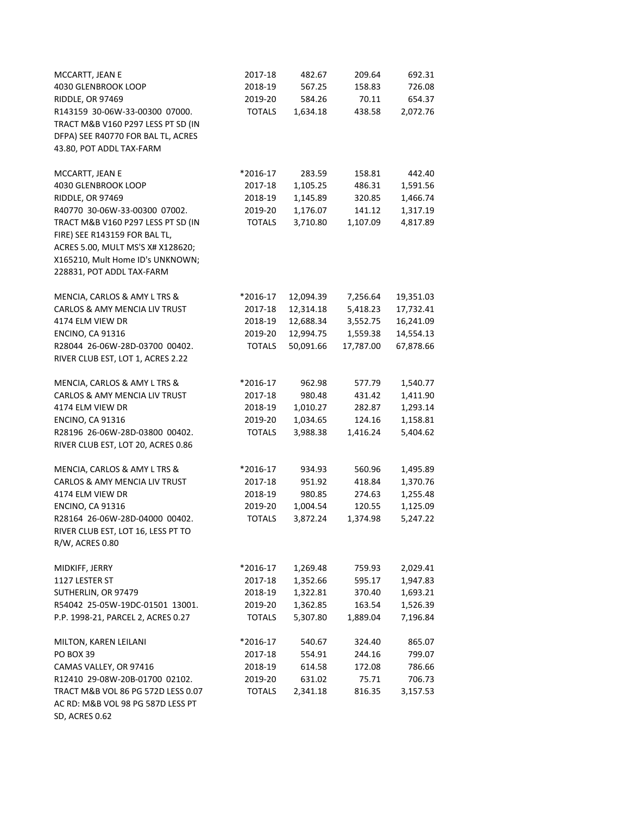| MCCARTT, JEAN E                          | 2017-18       | 482.67    | 209.64    | 692.31    |
|------------------------------------------|---------------|-----------|-----------|-----------|
| 4030 GLENBROOK LOOP                      | 2018-19       | 567.25    | 158.83    | 726.08    |
| RIDDLE, OR 97469                         | 2019-20       | 584.26    | 70.11     | 654.37    |
| R143159 30-06W-33-00300 07000.           | <b>TOTALS</b> | 1,634.18  | 438.58    | 2,072.76  |
| TRACT M&B V160 P297 LESS PT SD (IN       |               |           |           |           |
| DFPA) SEE R40770 FOR BAL TL, ACRES       |               |           |           |           |
| 43.80, POT ADDL TAX-FARM                 |               |           |           |           |
|                                          |               |           |           |           |
| MCCARTT, JEAN E                          | *2016-17      | 283.59    | 158.81    | 442.40    |
| 4030 GLENBROOK LOOP                      | 2017-18       | 1,105.25  | 486.31    | 1,591.56  |
| RIDDLE, OR 97469                         | 2018-19       | 1,145.89  | 320.85    | 1,466.74  |
| R40770 30-06W-33-00300 07002.            | 2019-20       | 1,176.07  | 141.12    | 1,317.19  |
| TRACT M&B V160 P297 LESS PT SD (IN       | <b>TOTALS</b> | 3,710.80  | 1,107.09  | 4,817.89  |
| FIRE) SEE R143159 FOR BAL TL,            |               |           |           |           |
| ACRES 5.00, MULT MS'S X# X128620;        |               |           |           |           |
| X165210, Mult Home ID's UNKNOWN;         |               |           |           |           |
| 228831, POT ADDL TAX-FARM                |               |           |           |           |
|                                          |               |           |           |           |
| MENCIA, CARLOS & AMY L TRS &             | *2016-17      | 12,094.39 | 7,256.64  | 19,351.03 |
| <b>CARLOS &amp; AMY MENCIA LIV TRUST</b> | 2017-18       | 12,314.18 | 5,418.23  | 17,732.41 |
| 4174 ELM VIEW DR                         | 2018-19       | 12,688.34 | 3,552.75  | 16,241.09 |
| <b>ENCINO, CA 91316</b>                  | 2019-20       | 12,994.75 | 1,559.38  | 14,554.13 |
| R28044 26-06W-28D-03700 00402.           | <b>TOTALS</b> | 50,091.66 | 17,787.00 | 67,878.66 |
| RIVER CLUB EST, LOT 1, ACRES 2.22        |               |           |           |           |
| MENCIA, CARLOS & AMY L TRS &             | *2016-17      | 962.98    | 577.79    | 1,540.77  |
| CARLOS & AMY MENCIA LIV TRUST            | 2017-18       | 980.48    | 431.42    | 1,411.90  |
| 4174 ELM VIEW DR                         | 2018-19       | 1,010.27  | 282.87    | 1,293.14  |
| <b>ENCINO, CA 91316</b>                  | 2019-20       | 1,034.65  | 124.16    | 1,158.81  |
| R28196 26-06W-28D-03800 00402.           | <b>TOTALS</b> | 3,988.38  | 1,416.24  | 5,404.62  |
| RIVER CLUB EST, LOT 20, ACRES 0.86       |               |           |           |           |
| MENCIA, CARLOS & AMY L TRS &             | *2016-17      | 934.93    | 560.96    | 1,495.89  |
| CARLOS & AMY MENCIA LIV TRUST            | 2017-18       | 951.92    | 418.84    | 1,370.76  |
| 4174 ELM VIEW DR                         | 2018-19       | 980.85    | 274.63    | 1,255.48  |
| <b>ENCINO, CA 91316</b>                  | 2019-20       | 1,004.54  | 120.55    | 1,125.09  |
| R28164 26-06W-28D-04000 00402.           | <b>TOTALS</b> | 3,872.24  | 1,374.98  | 5,247.22  |
| RIVER CLUB EST, LOT 16, LESS PT TO       |               |           |           |           |
| R/W, ACRES 0.80                          |               |           |           |           |
| MIDKIFF, JERRY                           | *2016-17      | 1,269.48  | 759.93    | 2,029.41  |
| 1127 LESTER ST                           | 2017-18       | 1,352.66  | 595.17    | 1,947.83  |
| SUTHERLIN, OR 97479                      | 2018-19       | 1,322.81  | 370.40    | 1,693.21  |
| R54042 25-05W-19DC-01501 13001.          | 2019-20       | 1,362.85  | 163.54    | 1,526.39  |
| P.P. 1998-21, PARCEL 2, ACRES 0.27       | <b>TOTALS</b> | 5,307.80  | 1,889.04  | 7,196.84  |
| MILTON, KAREN LEILANI                    | *2016-17      | 540.67    | 324.40    | 865.07    |
| <b>PO BOX 39</b>                         | 2017-18       | 554.91    | 244.16    | 799.07    |
| CAMAS VALLEY, OR 97416                   | 2018-19       | 614.58    | 172.08    | 786.66    |
| R12410 29-08W-20B-01700 02102.           | 2019-20       | 631.02    | 75.71     | 706.73    |
| TRACT M&B VOL 86 PG 572D LESS 0.07       | <b>TOTALS</b> | 2,341.18  | 816.35    | 3,157.53  |
| AC RD: M&B VOL 98 PG 587D LESS PT        |               |           |           |           |
| SD, ACRES 0.62                           |               |           |           |           |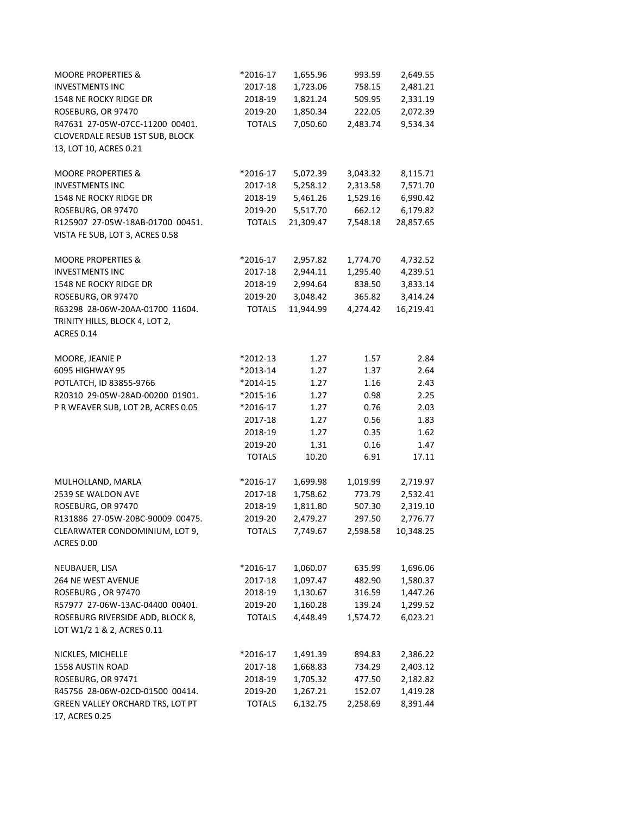| <b>MOORE PROPERTIES &amp;</b>                                       | *2016-17      | 1,655.96  | 993.59   | 2,649.55  |
|---------------------------------------------------------------------|---------------|-----------|----------|-----------|
| <b>INVESTMENTS INC</b>                                              | 2017-18       | 1,723.06  | 758.15   | 2,481.21  |
| 1548 NE ROCKY RIDGE DR                                              | 2018-19       | 1,821.24  | 509.95   | 2,331.19  |
| ROSEBURG, OR 97470                                                  | 2019-20       | 1,850.34  | 222.05   | 2,072.39  |
| R47631 27-05W-07CC-11200 00401.                                     | <b>TOTALS</b> | 7,050.60  | 2,483.74 | 9,534.34  |
| CLOVERDALE RESUB 1ST SUB, BLOCK                                     |               |           |          |           |
| 13, LOT 10, ACRES 0.21                                              |               |           |          |           |
| <b>MOORE PROPERTIES &amp;</b>                                       | *2016-17      | 5,072.39  | 3,043.32 | 8,115.71  |
| <b>INVESTMENTS INC</b>                                              | 2017-18       | 5,258.12  | 2,313.58 | 7,571.70  |
| 1548 NE ROCKY RIDGE DR                                              | 2018-19       | 5,461.26  | 1,529.16 | 6,990.42  |
| ROSEBURG, OR 97470                                                  | 2019-20       | 5,517.70  | 662.12   | 6,179.82  |
| R125907 27-05W-18AB-01700 00451.<br>VISTA FE SUB, LOT 3, ACRES 0.58 | <b>TOTALS</b> | 21,309.47 | 7,548.18 | 28,857.65 |
| <b>MOORE PROPERTIES &amp;</b>                                       | *2016-17      | 2,957.82  | 1,774.70 | 4,732.52  |
| <b>INVESTMENTS INC</b>                                              | 2017-18       | 2,944.11  | 1,295.40 | 4,239.51  |
| 1548 NE ROCKY RIDGE DR                                              | 2018-19       | 2,994.64  | 838.50   | 3,833.14  |
| ROSEBURG, OR 97470                                                  | 2019-20       | 3,048.42  | 365.82   | 3,414.24  |
| R63298 28-06W-20AA-01700 11604.                                     | <b>TOTALS</b> | 11,944.99 | 4,274.42 | 16,219.41 |
| TRINITY HILLS, BLOCK 4, LOT 2,<br><b>ACRES 0.14</b>                 |               |           |          |           |
| MOORE, JEANIE P                                                     | *2012-13      | 1.27      | 1.57     | 2.84      |
| 6095 HIGHWAY 95                                                     | *2013-14      | 1.27      | 1.37     | 2.64      |
| POTLATCH, ID 83855-9766                                             | *2014-15      | 1.27      | 1.16     | 2.43      |
| R20310 29-05W-28AD-00200 01901.                                     | *2015-16      | 1.27      | 0.98     | 2.25      |
| P R WEAVER SUB, LOT 2B, ACRES 0.05                                  | *2016-17      | 1.27      | 0.76     | 2.03      |
|                                                                     | 2017-18       | 1.27      | 0.56     | 1.83      |
|                                                                     | 2018-19       | 1.27      | 0.35     | 1.62      |
|                                                                     | 2019-20       | 1.31      | 0.16     | 1.47      |
|                                                                     | <b>TOTALS</b> | 10.20     | 6.91     | 17.11     |
| MULHOLLAND, MARLA                                                   | *2016-17      | 1,699.98  | 1,019.99 | 2,719.97  |
| 2539 SE WALDON AVE                                                  | 2017-18       | 1,758.62  | 773.79   | 2,532.41  |
| ROSEBURG, OR 97470                                                  | 2018-19       | 1,811.80  | 507.30   | 2,319.10  |
| R131886 27-05W-20BC-90009 00475.                                    | 2019-20       | 2,479.27  | 297.50   | 2,776.77  |
| CLEARWATER CONDOMINIUM, LOT 9,<br><b>ACRES 0.00</b>                 | <b>TOTALS</b> | 7,749.67  | 2,598.58 | 10,348.25 |
| NEUBAUER, LISA                                                      | *2016-17      | 1,060.07  | 635.99   | 1,696.06  |
| 264 NE WEST AVENUE                                                  | 2017-18       | 1,097.47  | 482.90   | 1,580.37  |
| ROSEBURG, OR 97470                                                  | 2018-19       | 1,130.67  | 316.59   | 1,447.26  |
| R57977 27-06W-13AC-04400 00401.                                     | 2019-20       | 1,160.28  | 139.24   | 1,299.52  |
| ROSEBURG RIVERSIDE ADD, BLOCK 8,<br>LOT W1/2 1 & 2, ACRES 0.11      | <b>TOTALS</b> | 4,448.49  | 1,574.72 | 6,023.21  |
| NICKLES, MICHELLE                                                   | *2016-17      | 1,491.39  | 894.83   | 2,386.22  |
| 1558 AUSTIN ROAD                                                    | 2017-18       | 1,668.83  | 734.29   | 2,403.12  |
| ROSEBURG, OR 97471                                                  | 2018-19       | 1,705.32  | 477.50   | 2,182.82  |
| R45756 28-06W-02CD-01500 00414.                                     | 2019-20       | 1,267.21  | 152.07   | 1,419.28  |
| GREEN VALLEY ORCHARD TRS, LOT PT<br>17, ACRES 0.25                  | <b>TOTALS</b> | 6,132.75  | 2,258.69 | 8,391.44  |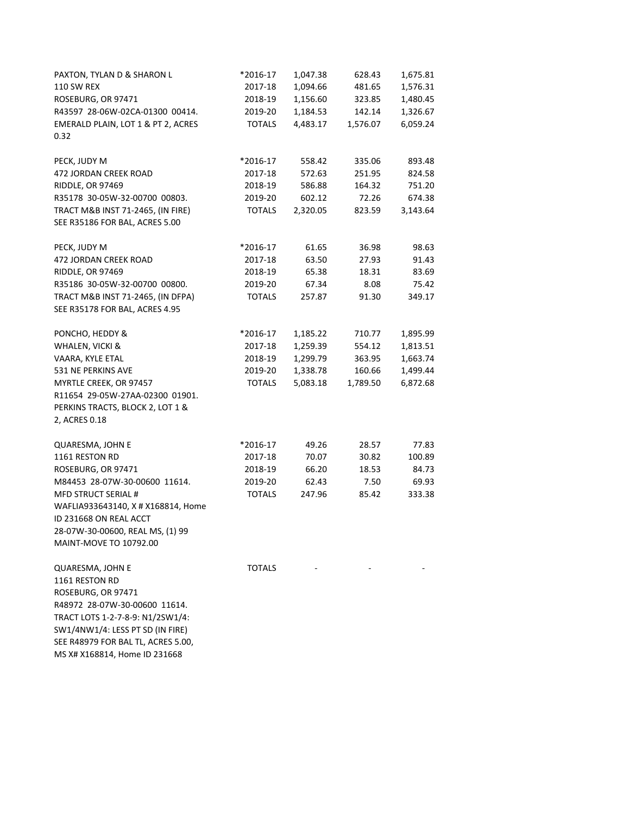| PAXTON, TYLAN D & SHARON L         | *2016-17      | 1,047.38 | 628.43   | 1,675.81 |
|------------------------------------|---------------|----------|----------|----------|
| <b>110 SW REX</b>                  | 2017-18       | 1,094.66 | 481.65   | 1,576.31 |
| ROSEBURG, OR 97471                 | 2018-19       | 1,156.60 | 323.85   | 1,480.45 |
| R43597 28-06W-02CA-01300 00414.    | 2019-20       | 1,184.53 | 142.14   | 1,326.67 |
| EMERALD PLAIN, LOT 1 & PT 2, ACRES | <b>TOTALS</b> | 4,483.17 | 1,576.07 | 6,059.24 |
| 0.32                               |               |          |          |          |
| PECK, JUDY M                       | *2016-17      | 558.42   | 335.06   | 893.48   |
| 472 JORDAN CREEK ROAD              | 2017-18       | 572.63   | 251.95   | 824.58   |
| RIDDLE, OR 97469                   | 2018-19       | 586.88   | 164.32   | 751.20   |
| R35178 30-05W-32-00700 00803.      | 2019-20       | 602.12   | 72.26    | 674.38   |
| TRACT M&B INST 71-2465, (IN FIRE)  | <b>TOTALS</b> | 2,320.05 | 823.59   | 3,143.64 |
| SEE R35186 FOR BAL, ACRES 5.00     |               |          |          |          |
| PECK, JUDY M                       | *2016-17      | 61.65    | 36.98    | 98.63    |
| 472 JORDAN CREEK ROAD              | 2017-18       | 63.50    | 27.93    | 91.43    |
| RIDDLE, OR 97469                   | 2018-19       | 65.38    | 18.31    | 83.69    |
| R35186 30-05W-32-00700 00800.      | 2019-20       | 67.34    | 8.08     | 75.42    |
| TRACT M&B INST 71-2465, (IN DFPA)  | <b>TOTALS</b> | 257.87   | 91.30    | 349.17   |
| SEE R35178 FOR BAL, ACRES 4.95     |               |          |          |          |
| PONCHO, HEDDY &                    | *2016-17      | 1,185.22 | 710.77   | 1,895.99 |
| WHALEN, VICKI &                    | 2017-18       | 1,259.39 | 554.12   | 1,813.51 |
| VAARA, KYLE ETAL                   | 2018-19       | 1,299.79 | 363.95   | 1,663.74 |
| 531 NE PERKINS AVE                 | 2019-20       | 1,338.78 | 160.66   | 1,499.44 |
| MYRTLE CREEK, OR 97457             | <b>TOTALS</b> | 5,083.18 | 1,789.50 | 6,872.68 |
| R11654 29-05W-27AA-02300 01901.    |               |          |          |          |
| PERKINS TRACTS, BLOCK 2, LOT 1 &   |               |          |          |          |
| 2, ACRES 0.18                      |               |          |          |          |
| QUARESMA, JOHN E                   | *2016-17      | 49.26    | 28.57    | 77.83    |
| 1161 RESTON RD                     | 2017-18       | 70.07    | 30.82    | 100.89   |
| ROSEBURG, OR 97471                 | 2018-19       | 66.20    | 18.53    | 84.73    |
| M84453 28-07W-30-00600 11614.      | 2019-20       | 62.43    | 7.50     | 69.93    |
| <b>MFD STRUCT SERIAL #</b>         | <b>TOTALS</b> | 247.96   | 85.42    | 333.38   |
| WAFLIA933643140, X # X168814, Home |               |          |          |          |
| ID 231668 ON REAL ACCT             |               |          |          |          |
| 28-07W-30-00600, REAL MS, (1) 99   |               |          |          |          |
| <b>MAINT-MOVE TO 10792.00</b>      |               |          |          |          |
| QUARESMA, JOHN E                   | <b>TOTALS</b> |          |          |          |
| 1161 RESTON RD                     |               |          |          |          |
| ROSEBURG, OR 97471                 |               |          |          |          |
| R48972 28-07W-30-00600 11614.      |               |          |          |          |
| TRACT LOTS 1-2-7-8-9: N1/2SW1/4:   |               |          |          |          |
| SW1/4NW1/4: LESS PT SD (IN FIRE)   |               |          |          |          |

SEE R48979 FOR BAL TL, ACRES 5.00, MS X# X168814, Home ID 231668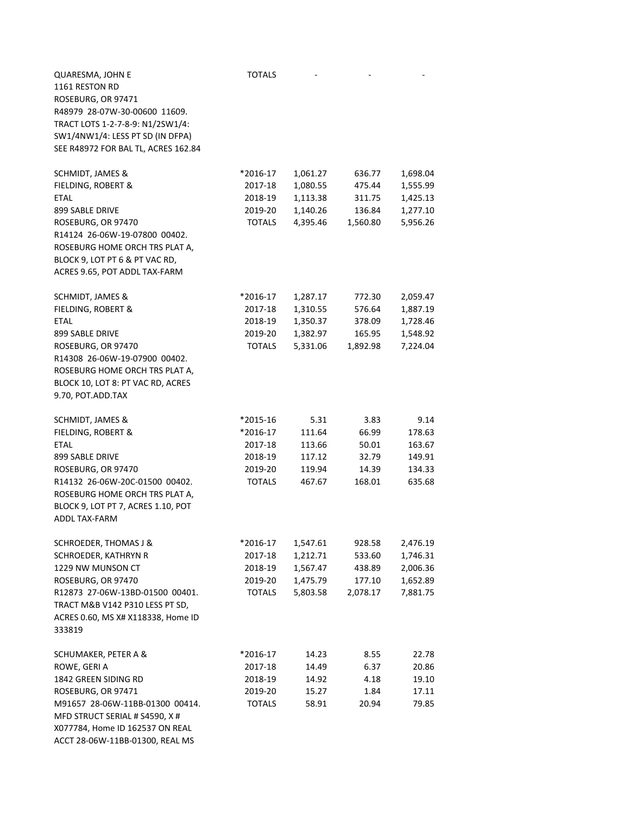| QUARESMA, JOHN E                    | <b>TOTALS</b> |          |          |          |
|-------------------------------------|---------------|----------|----------|----------|
| 1161 RESTON RD                      |               |          |          |          |
| ROSEBURG, OR 97471                  |               |          |          |          |
| R48979 28-07W-30-00600 11609.       |               |          |          |          |
| TRACT LOTS 1-2-7-8-9: N1/2SW1/4:    |               |          |          |          |
| SW1/4NW1/4: LESS PT SD (IN DFPA)    |               |          |          |          |
| SEE R48972 FOR BAL TL, ACRES 162.84 |               |          |          |          |
|                                     |               |          |          |          |
| SCHMIDT, JAMES &                    | *2016-17      | 1,061.27 | 636.77   | 1,698.04 |
| FIELDING, ROBERT &                  | 2017-18       | 1,080.55 | 475.44   | 1,555.99 |
| <b>ETAL</b>                         | 2018-19       | 1,113.38 | 311.75   | 1,425.13 |
| 899 SABLE DRIVE                     | 2019-20       | 1,140.26 | 136.84   | 1,277.10 |
| ROSEBURG, OR 97470                  | <b>TOTALS</b> | 4,395.46 | 1,560.80 | 5,956.26 |
| R14124 26-06W-19-07800 00402.       |               |          |          |          |
| ROSEBURG HOME ORCH TRS PLAT A,      |               |          |          |          |
| BLOCK 9, LOT PT 6 & PT VAC RD,      |               |          |          |          |
| ACRES 9.65, POT ADDL TAX-FARM       |               |          |          |          |
|                                     |               |          |          |          |
| SCHMIDT, JAMES &                    | *2016-17      | 1,287.17 | 772.30   | 2,059.47 |
| FIELDING, ROBERT &                  | 2017-18       | 1,310.55 | 576.64   | 1,887.19 |
| <b>ETAL</b>                         | 2018-19       | 1,350.37 | 378.09   | 1,728.46 |
| 899 SABLE DRIVE                     | 2019-20       | 1,382.97 | 165.95   | 1,548.92 |
| ROSEBURG, OR 97470                  | <b>TOTALS</b> | 5,331.06 | 1,892.98 | 7,224.04 |
| R14308 26-06W-19-07900 00402.       |               |          |          |          |
| ROSEBURG HOME ORCH TRS PLAT A,      |               |          |          |          |
| BLOCK 10, LOT 8: PT VAC RD, ACRES   |               |          |          |          |
| 9.70, POT.ADD.TAX                   |               |          |          |          |
|                                     |               |          |          |          |
| SCHMIDT, JAMES &                    | *2015-16      | 5.31     | 3.83     | 9.14     |
| FIELDING, ROBERT &                  | *2016-17      | 111.64   | 66.99    | 178.63   |
| <b>ETAL</b>                         | 2017-18       | 113.66   | 50.01    | 163.67   |
| 899 SABLE DRIVE                     | 2018-19       | 117.12   | 32.79    | 149.91   |
| ROSEBURG, OR 97470                  | 2019-20       | 119.94   | 14.39    | 134.33   |
| R14132 26-06W-20C-01500 00402.      | <b>TOTALS</b> | 467.67   | 168.01   | 635.68   |
| ROSEBURG HOME ORCH TRS PLAT A,      |               |          |          |          |
| BLOCK 9, LOT PT 7, ACRES 1.10, POT  |               |          |          |          |
| <b>ADDL TAX-FARM</b>                |               |          |          |          |
|                                     |               |          |          |          |
| <b>SCHROEDER, THOMAS J &amp;</b>    | *2016-17      | 1,547.61 | 928.58   | 2,476.19 |
| SCHROEDER, KATHRYN R                | 2017-18       | 1,212.71 | 533.60   | 1,746.31 |
| 1229 NW MUNSON CT                   | 2018-19       | 1,567.47 | 438.89   | 2,006.36 |
| ROSEBURG, OR 97470                  | 2019-20       | 1,475.79 | 177.10   | 1,652.89 |
| R12873 27-06W-13BD-01500 00401.     | <b>TOTALS</b> | 5,803.58 | 2,078.17 | 7,881.75 |
| TRACT M&B V142 P310 LESS PT SD,     |               |          |          |          |
| ACRES 0.60, MS X# X118338, Home ID  |               |          |          |          |
| 333819                              |               |          |          |          |
|                                     |               |          |          |          |
| SCHUMAKER, PETER A &                | *2016-17      | 14.23    | 8.55     | 22.78    |
| ROWE, GERI A                        | 2017-18       | 14.49    | 6.37     | 20.86    |
| 1842 GREEN SIDING RD                | 2018-19       | 14.92    | 4.18     | 19.10    |
| ROSEBURG, OR 97471                  | 2019-20       | 15.27    | 1.84     | 17.11    |
| M91657 28-06W-11BB-01300 00414.     | <b>TOTALS</b> | 58.91    | 20.94    | 79.85    |
| MFD STRUCT SERIAL # S4590, X#       |               |          |          |          |
| X077784, Home ID 162537 ON REAL     |               |          |          |          |
| ACCT 28-06W-11BB-01300, REAL MS     |               |          |          |          |
|                                     |               |          |          |          |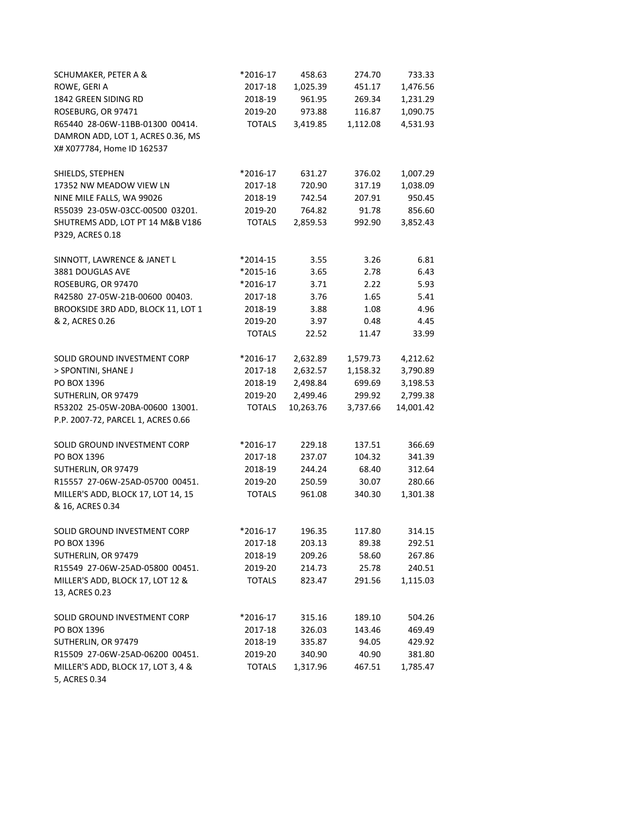| SCHUMAKER, PETER A &               | *2016-17      | 458.63    | 274.70   | 733.33    |
|------------------------------------|---------------|-----------|----------|-----------|
| ROWE, GERI A                       | 2017-18       | 1,025.39  | 451.17   | 1,476.56  |
| 1842 GREEN SIDING RD               | 2018-19       | 961.95    | 269.34   | 1,231.29  |
| ROSEBURG, OR 97471                 | 2019-20       | 973.88    | 116.87   | 1,090.75  |
| R65440 28-06W-11BB-01300 00414.    | <b>TOTALS</b> | 3,419.85  | 1,112.08 | 4,531.93  |
| DAMRON ADD, LOT 1, ACRES 0.36, MS  |               |           |          |           |
| X# X077784, Home ID 162537         |               |           |          |           |
|                                    |               |           |          |           |
| SHIELDS, STEPHEN                   | *2016-17      | 631.27    | 376.02   | 1,007.29  |
| 17352 NW MEADOW VIEW LN            | 2017-18       | 720.90    | 317.19   | 1,038.09  |
| NINE MILE FALLS, WA 99026          | 2018-19       | 742.54    | 207.91   | 950.45    |
| R55039 23-05W-03CC-00500 03201.    | 2019-20       | 764.82    | 91.78    | 856.60    |
| SHUTREMS ADD, LOT PT 14 M&B V186   | <b>TOTALS</b> | 2,859.53  | 992.90   | 3,852.43  |
| P329, ACRES 0.18                   |               |           |          |           |
| SINNOTT, LAWRENCE & JANET L        | *2014-15      | 3.55      | 3.26     | 6.81      |
| 3881 DOUGLAS AVE                   | *2015-16      | 3.65      | 2.78     | 6.43      |
| ROSEBURG, OR 97470                 | *2016-17      | 3.71      | 2.22     | 5.93      |
| R42580 27-05W-21B-00600 00403.     | 2017-18       | 3.76      | 1.65     | 5.41      |
| BROOKSIDE 3RD ADD, BLOCK 11, LOT 1 | 2018-19       | 3.88      | 1.08     | 4.96      |
| & 2, ACRES 0.26                    | 2019-20       | 3.97      | 0.48     | 4.45      |
|                                    | <b>TOTALS</b> | 22.52     | 11.47    | 33.99     |
| SOLID GROUND INVESTMENT CORP       | *2016-17      | 2,632.89  | 1,579.73 | 4,212.62  |
| > SPONTINI, SHANE J                | 2017-18       | 2,632.57  | 1,158.32 | 3,790.89  |
| PO BOX 1396                        | 2018-19       | 2,498.84  | 699.69   | 3,198.53  |
| SUTHERLIN, OR 97479                | 2019-20       | 2,499.46  | 299.92   | 2,799.38  |
| R53202 25-05W-20BA-00600 13001.    | <b>TOTALS</b> | 10,263.76 | 3,737.66 | 14,001.42 |
| P.P. 2007-72, PARCEL 1, ACRES 0.66 |               |           |          |           |
|                                    |               |           |          |           |
| SOLID GROUND INVESTMENT CORP       | *2016-17      | 229.18    | 137.51   | 366.69    |
| PO BOX 1396                        | 2017-18       | 237.07    | 104.32   | 341.39    |
| SUTHERLIN, OR 97479                | 2018-19       | 244.24    | 68.40    | 312.64    |
| R15557 27-06W-25AD-05700 00451.    | 2019-20       | 250.59    | 30.07    | 280.66    |
| MILLER'S ADD, BLOCK 17, LOT 14, 15 | <b>TOTALS</b> | 961.08    | 340.30   | 1,301.38  |
| & 16, ACRES 0.34                   |               |           |          |           |
| SOLID GROUND INVESTMENT CORP       | *2016-17      | 196.35    | 117.80   | 314.15    |
| PO BOX 1396                        | 2017-18       | 203.13    | 89.38    | 292.51    |
| SUTHERLIN, OR 97479                | 2018-19       | 209.26    | 58.60    | 267.86    |
| R15549 27-06W-25AD-05800 00451.    | 2019-20       | 214.73    | 25.78    | 240.51    |
| MILLER'S ADD, BLOCK 17, LOT 12 &   | <b>TOTALS</b> | 823.47    | 291.56   | 1,115.03  |
| 13, ACRES 0.23                     |               |           |          |           |
| SOLID GROUND INVESTMENT CORP       | *2016-17      | 315.16    | 189.10   | 504.26    |
| PO BOX 1396                        | 2017-18       | 326.03    | 143.46   | 469.49    |
| SUTHERLIN, OR 97479                | 2018-19       | 335.87    | 94.05    | 429.92    |
| R15509 27-06W-25AD-06200 00451.    | 2019-20       | 340.90    | 40.90    | 381.80    |
| MILLER'S ADD, BLOCK 17, LOT 3, 4 & | <b>TOTALS</b> | 1,317.96  | 467.51   | 1,785.47  |
| 5, ACRES 0.34                      |               |           |          |           |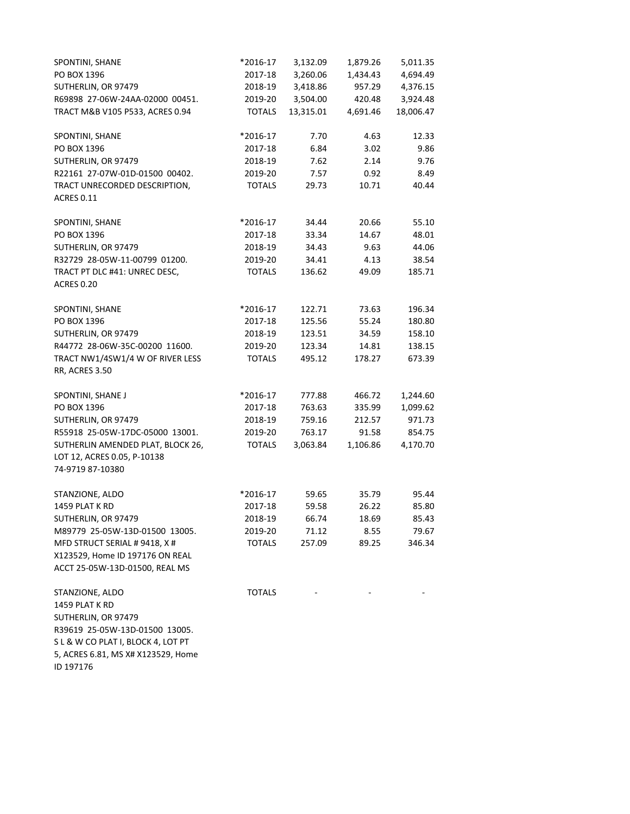| SPONTINI, SHANE                                                                      | *2016-17      | 3,132.09  | 1,879.26 | 5,011.35  |
|--------------------------------------------------------------------------------------|---------------|-----------|----------|-----------|
| PO BOX 1396                                                                          | 2017-18       | 3,260.06  | 1,434.43 | 4,694.49  |
| SUTHERLIN, OR 97479                                                                  | 2018-19       | 3,418.86  | 957.29   | 4,376.15  |
| R69898 27-06W-24AA-02000 00451.                                                      | 2019-20       | 3,504.00  | 420.48   | 3,924.48  |
| TRACT M&B V105 P533, ACRES 0.94                                                      | <b>TOTALS</b> | 13,315.01 | 4,691.46 | 18,006.47 |
| SPONTINI, SHANE                                                                      | *2016-17      | 7.70      | 4.63     | 12.33     |
| PO BOX 1396                                                                          | 2017-18       | 6.84      | 3.02     | 9.86      |
| SUTHERLIN, OR 97479                                                                  | 2018-19       | 7.62      | 2.14     | 9.76      |
| R22161 27-07W-01D-01500 00402.                                                       | 2019-20       | 7.57      | 0.92     | 8.49      |
| TRACT UNRECORDED DESCRIPTION,<br><b>ACRES 0.11</b>                                   | <b>TOTALS</b> | 29.73     | 10.71    | 40.44     |
| SPONTINI, SHANE                                                                      | *2016-17      | 34.44     | 20.66    | 55.10     |
| PO BOX 1396                                                                          | 2017-18       | 33.34     | 14.67    | 48.01     |
| SUTHERLIN, OR 97479                                                                  | 2018-19       | 34.43     | 9.63     | 44.06     |
| R32729 28-05W-11-00799 01200.                                                        | 2019-20       | 34.41     | 4.13     | 38.54     |
| TRACT PT DLC #41: UNREC DESC,<br><b>ACRES 0.20</b>                                   | <b>TOTALS</b> | 136.62    | 49.09    | 185.71    |
| SPONTINI, SHANE                                                                      | *2016-17      | 122.71    | 73.63    | 196.34    |
| PO BOX 1396                                                                          | 2017-18       | 125.56    | 55.24    | 180.80    |
| SUTHERLIN, OR 97479                                                                  | 2018-19       | 123.51    | 34.59    | 158.10    |
| R44772 28-06W-35C-00200 11600.                                                       | 2019-20       | 123.34    | 14.81    | 138.15    |
| TRACT NW1/4SW1/4 W OF RIVER LESS<br><b>RR, ACRES 3.50</b>                            | <b>TOTALS</b> | 495.12    | 178.27   | 673.39    |
| SPONTINI, SHANE J                                                                    | *2016-17      | 777.88    | 466.72   | 1,244.60  |
| PO BOX 1396                                                                          | 2017-18       | 763.63    | 335.99   | 1,099.62  |
| SUTHERLIN, OR 97479                                                                  | 2018-19       | 759.16    | 212.57   | 971.73    |
| R55918 25-05W-17DC-05000 13001.                                                      | 2019-20       | 763.17    | 91.58    | 854.75    |
| SUTHERLIN AMENDED PLAT, BLOCK 26,<br>LOT 12, ACRES 0.05, P-10138<br>74-9719 87-10380 | <b>TOTALS</b> | 3,063.84  | 1,106.86 | 4,170.70  |
| STANZIONE, ALDO                                                                      | *2016-17      | 59.65     | 35.79    | 95.44     |
| 1459 PLAT K RD                                                                       | 2017-18       | 59.58     | 26.22    | 85.80     |
| SUTHERLIN, OR 97479                                                                  | 2018-19       | 66.74     | 18.69    | 85.43     |
| M89779 25-05W-13D-01500 13005.                                                       | 2019-20       | 71.12     | 8.55     | 79.67     |
| MFD STRUCT SERIAL # 9418, X #                                                        | <b>TOTALS</b> | 257.09    | 89.25    | 346.34    |
| X123529, Home ID 197176 ON REAL<br>ACCT 25-05W-13D-01500, REAL MS                    |               |           |          |           |
| STANZIONE, ALDO                                                                      | <b>TOTALS</b> |           |          |           |
| 1459 PLAT K RD                                                                       |               |           |          |           |
| SUTHERLIN, OR 97479                                                                  |               |           |          |           |
| R39619 25-05W-13D-01500 13005.                                                       |               |           |          |           |
| S L & W CO PLAT I, BLOCK 4, LOT PT                                                   |               |           |          |           |
| 5, ACRES 6.81, MS X# X123529, Home<br>ID 197176                                      |               |           |          |           |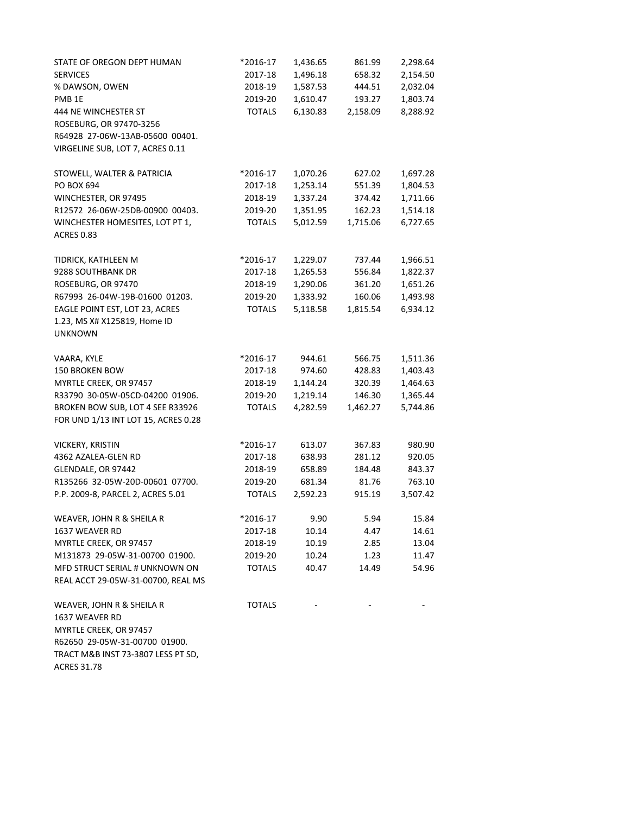| STATE OF OREGON DEPT HUMAN                           | *2016-17      | 1,436.65 | 861.99   | 2,298.64 |
|------------------------------------------------------|---------------|----------|----------|----------|
| <b>SERVICES</b>                                      | 2017-18       | 1,496.18 | 658.32   | 2,154.50 |
| % DAWSON, OWEN                                       | 2018-19       | 1,587.53 | 444.51   | 2,032.04 |
| PMB <sub>1E</sub>                                    | 2019-20       | 1,610.47 | 193.27   | 1,803.74 |
| 444 NE WINCHESTER ST                                 | <b>TOTALS</b> | 6,130.83 | 2,158.09 | 8,288.92 |
| ROSEBURG, OR 97470-3256                              |               |          |          |          |
| R64928 27-06W-13AB-05600 00401.                      |               |          |          |          |
| VIRGELINE SUB, LOT 7, ACRES 0.11                     |               |          |          |          |
| STOWELL, WALTER & PATRICIA                           | *2016-17      | 1,070.26 | 627.02   | 1,697.28 |
| PO BOX 694                                           | 2017-18       | 1,253.14 | 551.39   | 1,804.53 |
| WINCHESTER, OR 97495                                 | 2018-19       | 1,337.24 | 374.42   | 1,711.66 |
| R12572 26-06W-25DB-00900 00403.                      | 2019-20       | 1,351.95 | 162.23   | 1,514.18 |
| WINCHESTER HOMESITES, LOT PT 1,<br><b>ACRES 0.83</b> | <b>TOTALS</b> | 5,012.59 | 1,715.06 | 6,727.65 |
| TIDRICK, KATHLEEN M                                  | *2016-17      | 1,229.07 | 737.44   | 1,966.51 |
| 9288 SOUTHBANK DR                                    | 2017-18       | 1,265.53 | 556.84   | 1,822.37 |
| ROSEBURG, OR 97470                                   | 2018-19       | 1,290.06 | 361.20   | 1,651.26 |
| R67993 26-04W-19B-01600 01203.                       | 2019-20       | 1,333.92 | 160.06   | 1,493.98 |
| EAGLE POINT EST, LOT 23, ACRES                       | <b>TOTALS</b> | 5,118.58 | 1,815.54 | 6,934.12 |
| 1.23, MS X# X125819, Home ID<br><b>UNKNOWN</b>       |               |          |          |          |
| VAARA, KYLE                                          | *2016-17      | 944.61   | 566.75   | 1,511.36 |
| 150 BROKEN BOW                                       | 2017-18       | 974.60   | 428.83   | 1,403.43 |
| MYRTLE CREEK, OR 97457                               | 2018-19       | 1,144.24 | 320.39   | 1,464.63 |
| R33790 30-05W-05CD-04200 01906.                      | 2019-20       | 1,219.14 | 146.30   | 1,365.44 |
| BROKEN BOW SUB, LOT 4 SEE R33926                     | <b>TOTALS</b> | 4,282.59 | 1,462.27 | 5,744.86 |
| FOR UND 1/13 INT LOT 15, ACRES 0.28                  |               |          |          |          |
| VICKERY, KRISTIN                                     | *2016-17      | 613.07   | 367.83   | 980.90   |
| 4362 AZALEA-GLEN RD                                  | 2017-18       | 638.93   | 281.12   | 920.05   |
| GLENDALE, OR 97442                                   | 2018-19       | 658.89   | 184.48   | 843.37   |
| R135266 32-05W-20D-00601 07700.                      | 2019-20       | 681.34   | 81.76    | 763.10   |
| P.P. 2009-8, PARCEL 2, ACRES 5.01                    | <b>TOTALS</b> | 2,592.23 | 915.19   | 3,507.42 |
| WEAVER, JOHN R & SHEILA R                            | *2016-17      | 9.90     | 5.94     | 15.84    |
| 1637 WEAVER RD                                       | 2017-18       | 10.14    | 4.47     | 14.61    |
| MYRTLE CREEK, OR 97457                               | 2018-19       | 10.19    | 2.85     | 13.04    |
| M131873 29-05W-31-00700 01900.                       | 2019-20       | 10.24    | 1.23     | 11.47    |
| MFD STRUCT SERIAL # UNKNOWN ON                       | <b>TOTALS</b> | 40.47    | 14.49    | 54.96    |
| REAL ACCT 29-05W-31-00700, REAL MS                   |               |          |          |          |
| WEAVER, JOHN R & SHEILA R                            | <b>TOTALS</b> |          |          |          |
| 1637 WEAVER RD                                       |               |          |          |          |
| MYRTLE CREEK, OR 97457                               |               |          |          |          |
| R62650 29-05W-31-00700 01900.                        |               |          |          |          |
| TRACT M&B INST 73-3807 LESS PT SD,                   |               |          |          |          |
| <b>ACRES 31.78</b>                                   |               |          |          |          |